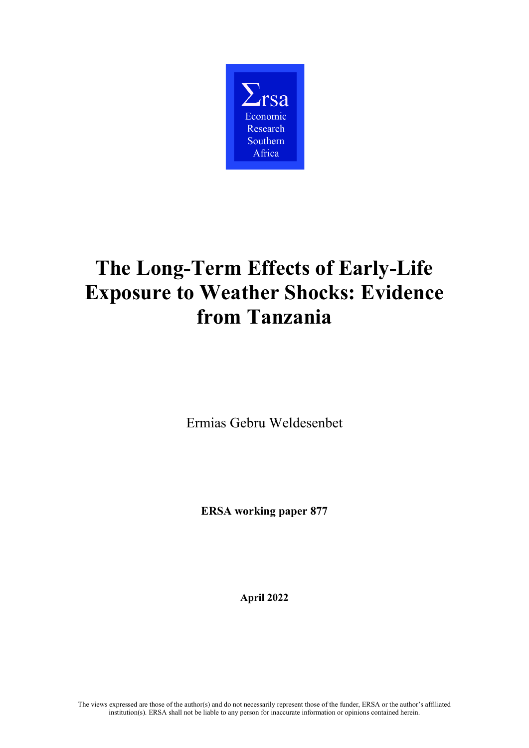

# **The Long-Term Effects of Early-Life Exposure to Weather Shocks: Evidence from Tanzania**

Ermias Gebru Weldesenbet

**ERSA working paper 877**

**April 2022**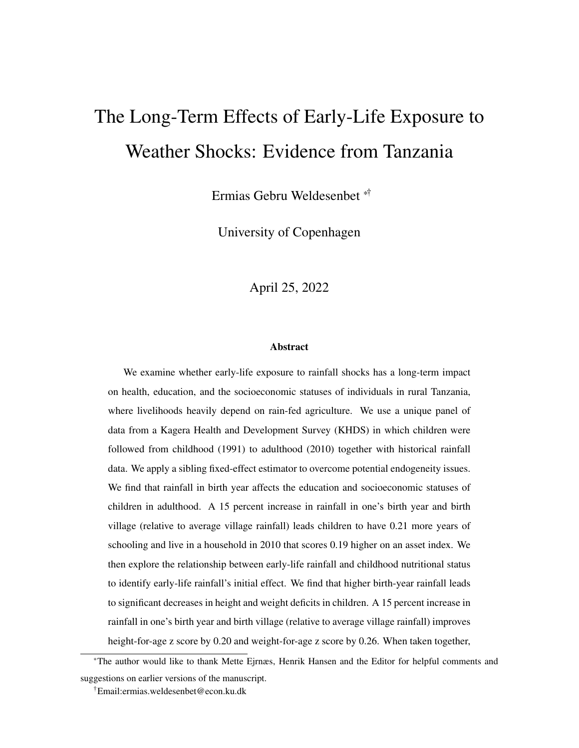# The Long-Term Effects of Early-Life Exposure to Weather Shocks: Evidence from Tanzania

Ermias Gebru Weldesenbet \*†

University of Copenhagen

April 25, 2022

#### Abstract

We examine whether early-life exposure to rainfall shocks has a long-term impact on health, education, and the socioeconomic statuses of individuals in rural Tanzania, where livelihoods heavily depend on rain-fed agriculture. We use a unique panel of data from a Kagera Health and Development Survey (KHDS) in which children were followed from childhood (1991) to adulthood (2010) together with historical rainfall data. We apply a sibling fixed-effect estimator to overcome potential endogeneity issues. We find that rainfall in birth year affects the education and socioeconomic statuses of children in adulthood. A 15 percent increase in rainfall in one's birth year and birth village (relative to average village rainfall) leads children to have 0.21 more years of schooling and live in a household in 2010 that scores 0.19 higher on an asset index. We then explore the relationship between early-life rainfall and childhood nutritional status to identify early-life rainfall's initial effect. We find that higher birth-year rainfall leads to significant decreases in height and weight deficits in children. A 15 percent increase in rainfall in one's birth year and birth village (relative to average village rainfall) improves height-for-age z score by 0.20 and weight-for-age z score by 0.26. When taken together,

<sup>\*</sup>The author would like to thank Mette Ejrnæs, Henrik Hansen and the Editor for helpful comments and suggestions on earlier versions of the manuscript.

<sup>†</sup>Email:ermias.weldesenbet@econ.ku.dk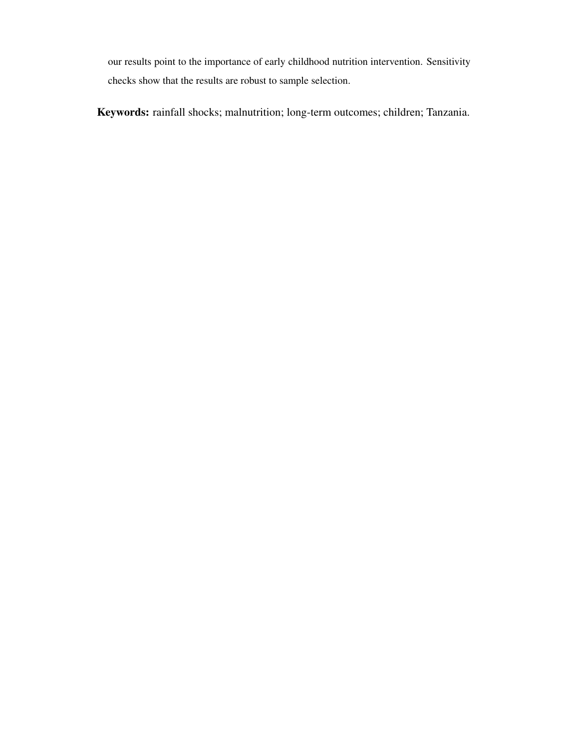our results point to the importance of early childhood nutrition intervention. Sensitivity checks show that the results are robust to sample selection.

Keywords: rainfall shocks; malnutrition; long-term outcomes; children; Tanzania.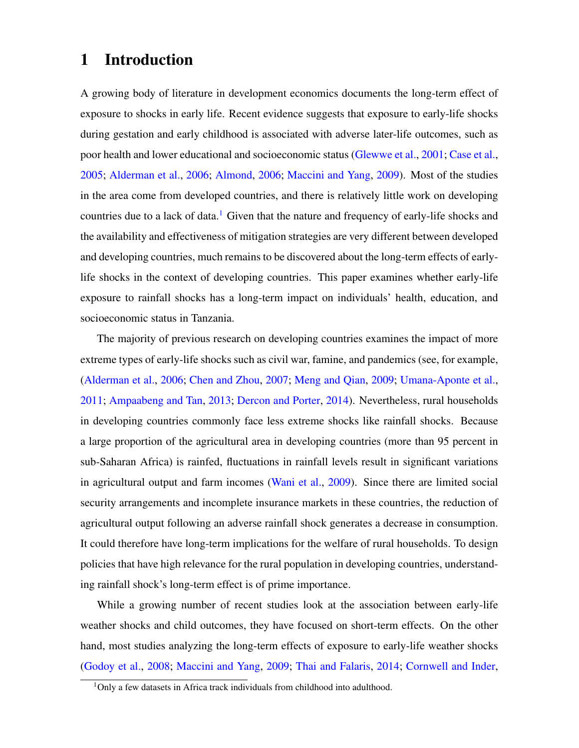# <span id="page-3-0"></span>1 Introduction

A growing body of literature in development economics documents the long-term effect of exposure to shocks in early life. Recent evidence suggests that exposure to early-life shocks during gestation and early childhood is associated with adverse later-life outcomes, such as poor health and lower educational and socioeconomic status [\(Glewwe et al.,](#page-38-0) [2001;](#page-38-0) [Case et al.,](#page-37-0) [2005;](#page-37-0) [Alderman et al.,](#page-36-0) [2006;](#page-36-0) [Almond,](#page-36-1) [2006;](#page-36-1) [Maccini and Yang,](#page-39-0) [2009\)](#page-39-0). Most of the studies in the area come from developed countries, and there is relatively little work on developing countries due to a lack of data.<sup>1</sup> Given that the nature and frequency of early-life shocks and the availability and effectiveness of mitigation strategies are very different between developed and developing countries, much remains to be discovered about the long-term effects of earlylife shocks in the context of developing countries. This paper examines whether early-life exposure to rainfall shocks has a long-term impact on individuals' health, education, and socioeconomic status in Tanzania.

The majority of previous research on developing countries examines the impact of more extreme types of early-life shocks such as civil war, famine, and pandemics (see, for example, [\(Alderman et al.,](#page-36-0) [2006;](#page-36-0) [Chen and Zhou,](#page-37-1) [2007;](#page-37-1) [Meng and Qian,](#page-39-1) [2009;](#page-39-1) [Umana-Aponte et al.,](#page-40-0) [2011;](#page-40-0) [Ampaabeng and Tan,](#page-36-2) [2013;](#page-36-2) [Dercon and Porter,](#page-37-2) [2014\)](#page-37-2). Nevertheless, rural households in developing countries commonly face less extreme shocks like rainfall shocks. Because a large proportion of the agricultural area in developing countries (more than 95 percent in sub-Saharan Africa) is rainfed, fluctuations in rainfall levels result in significant variations in agricultural output and farm incomes [\(Wani et al.,](#page-40-1) [2009\)](#page-40-1). Since there are limited social security arrangements and incomplete insurance markets in these countries, the reduction of agricultural output following an adverse rainfall shock generates a decrease in consumption. It could therefore have long-term implications for the welfare of rural households. To design policies that have high relevance for the rural population in developing countries, understanding rainfall shock's long-term effect is of prime importance.

While a growing number of recent studies look at the association between early-life weather shocks and child outcomes, they have focused on short-term effects. On the other hand, most studies analyzing the long-term effects of exposure to early-life weather shocks [\(Godoy et al.,](#page-38-1) [2008;](#page-38-1) [Maccini and Yang,](#page-39-0) [2009;](#page-39-0) [Thai and Falaris,](#page-39-2) [2014;](#page-39-2) [Cornwell and Inder,](#page-37-3)

<sup>&</sup>lt;sup>1</sup>Only a few datasets in Africa track individuals from childhood into adulthood.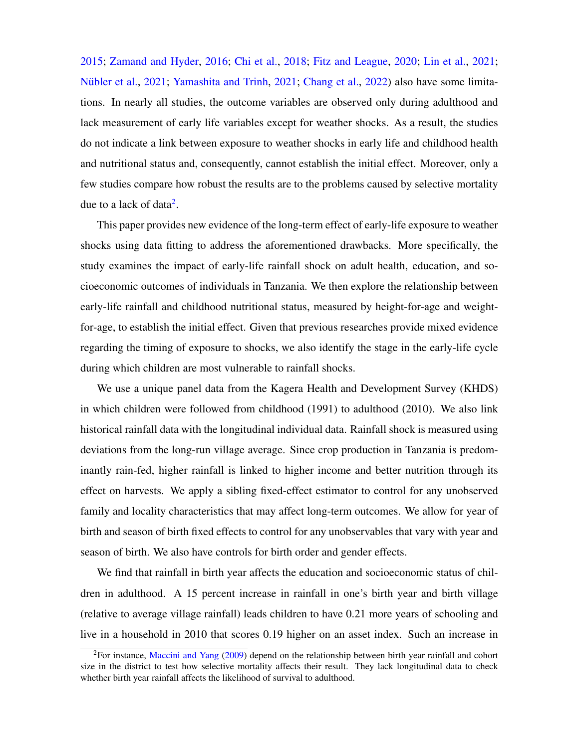[2015;](#page-37-3) [Zamand and Hyder,](#page-40-2) [2016;](#page-40-2) [Chi et al.,](#page-37-4) [2018;](#page-37-4) [Fitz and League,](#page-38-2) [2020;](#page-38-2) [Lin et al.,](#page-39-3) [2021;](#page-39-3) Nübler et al., [2021;](#page-40-3) [Yamashita and Trinh,](#page-40-3) 2021; [Chang et al.,](#page-37-5) [2022\)](#page-37-5) also have some limitations. In nearly all studies, the outcome variables are observed only during adulthood and lack measurement of early life variables except for weather shocks. As a result, the studies do not indicate a link between exposure to weather shocks in early life and childhood health and nutritional status and, consequently, cannot establish the initial effect. Moreover, only a few studies compare how robust the results are to the problems caused by selective mortality due to a lack of data<sup>[2](#page-3-0)</sup>.

This paper provides new evidence of the long-term effect of early-life exposure to weather shocks using data fitting to address the aforementioned drawbacks. More specifically, the study examines the impact of early-life rainfall shock on adult health, education, and socioeconomic outcomes of individuals in Tanzania. We then explore the relationship between early-life rainfall and childhood nutritional status, measured by height-for-age and weightfor-age, to establish the initial effect. Given that previous researches provide mixed evidence regarding the timing of exposure to shocks, we also identify the stage in the early-life cycle during which children are most vulnerable to rainfall shocks.

We use a unique panel data from the Kagera Health and Development Survey (KHDS) in which children were followed from childhood (1991) to adulthood (2010). We also link historical rainfall data with the longitudinal individual data. Rainfall shock is measured using deviations from the long-run village average. Since crop production in Tanzania is predominantly rain-fed, higher rainfall is linked to higher income and better nutrition through its effect on harvests. We apply a sibling fixed-effect estimator to control for any unobserved family and locality characteristics that may affect long-term outcomes. We allow for year of birth and season of birth fixed effects to control for any unobservables that vary with year and season of birth. We also have controls for birth order and gender effects.

We find that rainfall in birth year affects the education and socioeconomic status of children in adulthood. A 15 percent increase in rainfall in one's birth year and birth village (relative to average village rainfall) leads children to have 0.21 more years of schooling and live in a household in 2010 that scores 0.19 higher on an asset index. Such an increase in

 ${}^{2}$ For instance, [Maccini and Yang](#page-39-0) [\(2009\)](#page-39-0) depend on the relationship between birth year rainfall and cohort size in the district to test how selective mortality affects their result. They lack longitudinal data to check whether birth year rainfall affects the likelihood of survival to adulthood.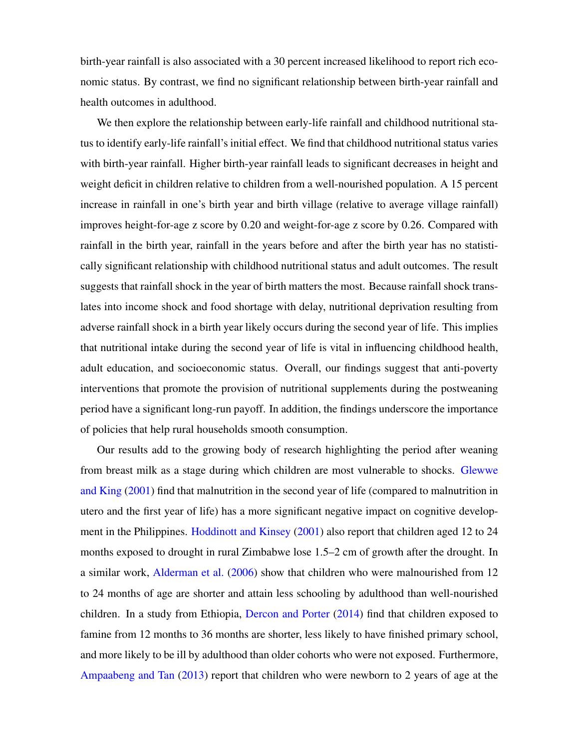birth-year rainfall is also associated with a 30 percent increased likelihood to report rich economic status. By contrast, we find no significant relationship between birth-year rainfall and health outcomes in adulthood.

We then explore the relationship between early-life rainfall and childhood nutritional status to identify early-life rainfall's initial effect. We find that childhood nutritional status varies with birth-year rainfall. Higher birth-year rainfall leads to significant decreases in height and weight deficit in children relative to children from a well-nourished population. A 15 percent increase in rainfall in one's birth year and birth village (relative to average village rainfall) improves height-for-age z score by 0.20 and weight-for-age z score by 0.26. Compared with rainfall in the birth year, rainfall in the years before and after the birth year has no statistically significant relationship with childhood nutritional status and adult outcomes. The result suggests that rainfall shock in the year of birth matters the most. Because rainfall shock translates into income shock and food shortage with delay, nutritional deprivation resulting from adverse rainfall shock in a birth year likely occurs during the second year of life. This implies that nutritional intake during the second year of life is vital in influencing childhood health, adult education, and socioeconomic status. Overall, our findings suggest that anti-poverty interventions that promote the provision of nutritional supplements during the postweaning period have a significant long-run payoff. In addition, the findings underscore the importance of policies that help rural households smooth consumption.

Our results add to the growing body of research highlighting the period after weaning from breast milk as a stage during which children are most vulnerable to shocks. [Glewwe](#page-38-3) [and King](#page-38-3) [\(2001\)](#page-38-3) find that malnutrition in the second year of life (compared to malnutrition in utero and the first year of life) has a more significant negative impact on cognitive development in the Philippines. [Hoddinott and Kinsey](#page-38-4) [\(2001\)](#page-38-4) also report that children aged 12 to 24 months exposed to drought in rural Zimbabwe lose 1.5–2 cm of growth after the drought. In a similar work, [Alderman et al.](#page-36-0) [\(2006\)](#page-36-0) show that children who were malnourished from 12 to 24 months of age are shorter and attain less schooling by adulthood than well-nourished children. In a study from Ethiopia, [Dercon and Porter](#page-37-2) [\(2014\)](#page-37-2) find that children exposed to famine from 12 months to 36 months are shorter, less likely to have finished primary school, and more likely to be ill by adulthood than older cohorts who were not exposed. Furthermore, [Ampaabeng and Tan](#page-36-2) [\(2013\)](#page-36-2) report that children who were newborn to 2 years of age at the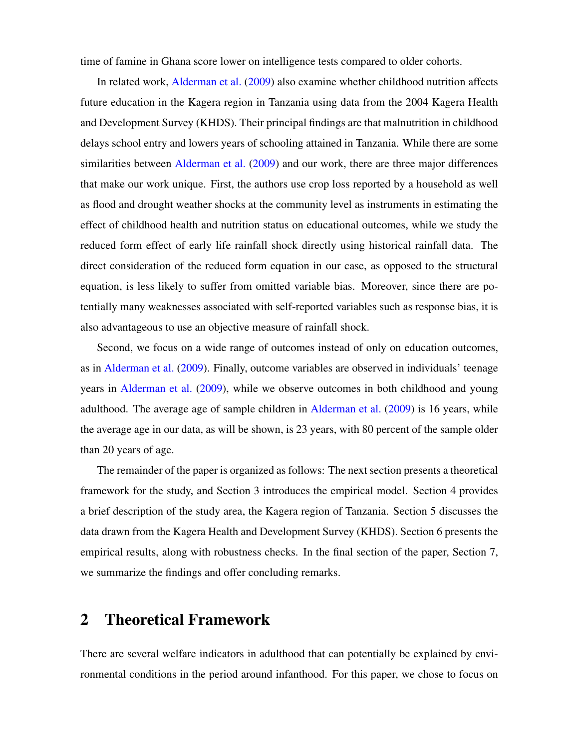time of famine in Ghana score lower on intelligence tests compared to older cohorts.

In related work, [Alderman et al.](#page-36-3) [\(2009\)](#page-36-3) also examine whether childhood nutrition affects future education in the Kagera region in Tanzania using data from the 2004 Kagera Health and Development Survey (KHDS). Their principal findings are that malnutrition in childhood delays school entry and lowers years of schooling attained in Tanzania. While there are some similarities between [Alderman et al.](#page-36-3) [\(2009\)](#page-36-3) and our work, there are three major differences that make our work unique. First, the authors use crop loss reported by a household as well as flood and drought weather shocks at the community level as instruments in estimating the effect of childhood health and nutrition status on educational outcomes, while we study the reduced form effect of early life rainfall shock directly using historical rainfall data. The direct consideration of the reduced form equation in our case, as opposed to the structural equation, is less likely to suffer from omitted variable bias. Moreover, since there are potentially many weaknesses associated with self-reported variables such as response bias, it is also advantageous to use an objective measure of rainfall shock.

Second, we focus on a wide range of outcomes instead of only on education outcomes, as in [Alderman et al.](#page-36-3) [\(2009\)](#page-36-3). Finally, outcome variables are observed in individuals' teenage years in [Alderman et al.](#page-36-3) [\(2009\)](#page-36-3), while we observe outcomes in both childhood and young adulthood. The average age of sample children in [Alderman et al.](#page-36-3) [\(2009\)](#page-36-3) is 16 years, while the average age in our data, as will be shown, is 23 years, with 80 percent of the sample older than 20 years of age.

The remainder of the paper is organized as follows: The next section presents a theoretical framework for the study, and Section 3 introduces the empirical model. Section 4 provides a brief description of the study area, the Kagera region of Tanzania. Section 5 discusses the data drawn from the Kagera Health and Development Survey (KHDS). Section 6 presents the empirical results, along with robustness checks. In the final section of the paper, Section 7, we summarize the findings and offer concluding remarks.

## 2 Theoretical Framework

There are several welfare indicators in adulthood that can potentially be explained by environmental conditions in the period around infanthood. For this paper, we chose to focus on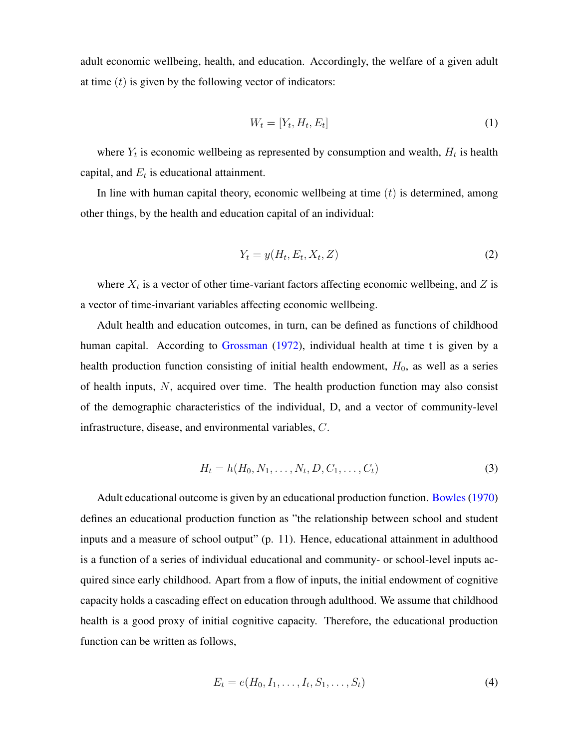adult economic wellbeing, health, and education. Accordingly, the welfare of a given adult at time  $(t)$  is given by the following vector of indicators:

<span id="page-7-2"></span>
$$
W_t = [Y_t, H_t, E_t]
$$
\n<sup>(1)</sup>

where  $Y_t$  is economic wellbeing as represented by consumption and wealth,  $H_t$  is health capital, and  $E_t$  is educational attainment.

In line with human capital theory, economic wellbeing at time  $(t)$  is determined, among other things, by the health and education capital of an individual:

<span id="page-7-0"></span>
$$
Y_t = y(H_t, E_t, X_t, Z) \tag{2}
$$

where  $X_t$  is a vector of other time-variant factors affecting economic wellbeing, and Z is a vector of time-invariant variables affecting economic wellbeing.

Adult health and education outcomes, in turn, can be defined as functions of childhood human capital. According to [Grossman](#page-38-5) [\(1972\)](#page-38-5), individual health at time t is given by a health production function consisting of initial health endowment,  $H_0$ , as well as a series of health inputs, N, acquired over time. The health production function may also consist of the demographic characteristics of the individual, D, and a vector of community-level infrastructure, disease, and environmental variables, C.

$$
H_t = h(H_0, N_1, \dots, N_t, D, C_1, \dots, C_t)
$$
\n(3)

Adult educational outcome is given by an educational production function. [Bowles\(1970\)](#page-37-6) defines an educational production function as "the relationship between school and student inputs and a measure of school output" (p. 11). Hence, educational attainment in adulthood is a function of a series of individual educational and community- or school-level inputs acquired since early childhood. Apart from a flow of inputs, the initial endowment of cognitive capacity holds a cascading effect on education through adulthood. We assume that childhood health is a good proxy of initial cognitive capacity. Therefore, the educational production function can be written as follows,

<span id="page-7-1"></span>
$$
E_t = e(H_0, I_1, \dots, I_t, S_1, \dots, S_t)
$$
\n(4)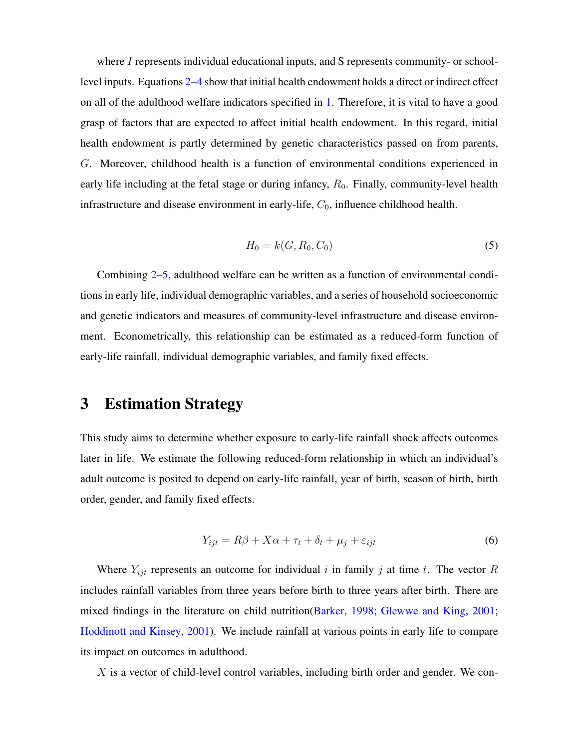where I represents individual educational inputs, and S represents community- or schoollevel inputs. Equations [2–](#page-7-0)[4](#page-7-1) show that initial health endowment holds a direct or indirect effect on all of the adulthood welfare indicators specified in [1.](#page-7-2) Therefore, it is vital to have a good grasp of factors that are expected to affect initial health endowment. In this regard, initial health endowment is partly determined by genetic characteristics passed on from parents, G. Moreover, childhood health is a function of environmental conditions experienced in early life including at the fetal stage or during infancy,  $R_0$ . Finally, community-level health infrastructure and disease environment in early-life,  $C_0$ , influence childhood health.

<span id="page-8-0"></span>
$$
H_0 = k(G, R_0, C_0)
$$
 (5)

Combining [2–](#page-7-0)[5,](#page-8-0) adulthood welfare can be written as a function of environmental conditions in early life, individual demographic variables, and a series of household socioeconomic and genetic indicators and measures of community-level infrastructure and disease environment. Econometrically, this relationship can be estimated as a reduced-form function of early-life rainfall, individual demographic variables, and family fixed effects.

## 3 Estimation Strategy

This study aims to determine whether exposure to early-life rainfall shock affects outcomes later in life. We estimate the following reduced-form relationship in which an individual's adult outcome is posited to depend on early-life rainfall, year of birth, season of birth, birth order, gender, and family fixed effects.

<span id="page-8-1"></span>
$$
Y_{ijt} = R\beta + X\alpha + \tau_t + \delta_t + \mu_j + \varepsilon_{ijt}
$$
\n
$$
\tag{6}
$$

Where  $Y_{ijt}$  represents an outcome for individual i in family j at time t. The vector R includes rainfall variables from three years before birth to three years after birth. There are mixed findings in the literature on child nutrition[\(Barker,](#page-36-4) [1998;](#page-36-4) [Glewwe and King,](#page-38-3) [2001;](#page-38-3) [Hoddinott and Kinsey,](#page-38-4) [2001\)](#page-38-4). We include rainfall at various points in early life to compare its impact on outcomes in adulthood.

X is a vector of child-level control variables, including birth order and gender. We con-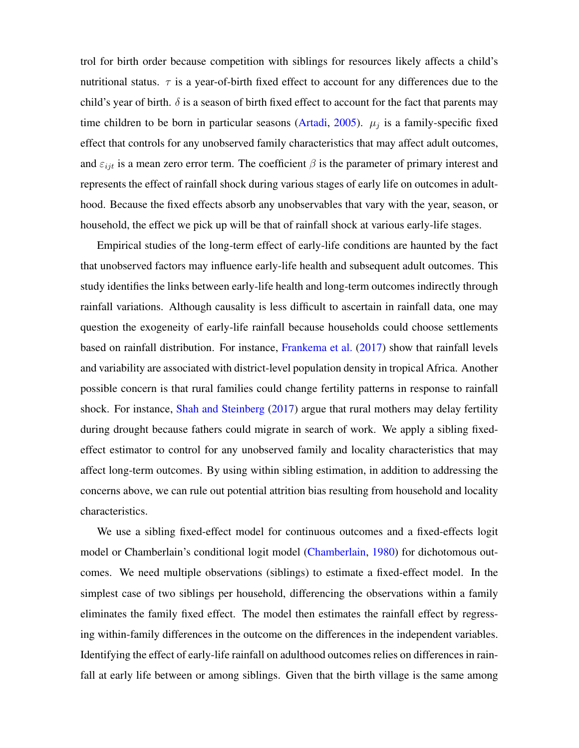trol for birth order because competition with siblings for resources likely affects a child's nutritional status.  $\tau$  is a year-of-birth fixed effect to account for any differences due to the child's year of birth.  $\delta$  is a season of birth fixed effect to account for the fact that parents may time children to be born in particular seasons [\(Artadi,](#page-36-5) [2005\)](#page-36-5).  $\mu_j$  is a family-specific fixed effect that controls for any unobserved family characteristics that may affect adult outcomes, and  $\varepsilon_{ijt}$  is a mean zero error term. The coefficient  $\beta$  is the parameter of primary interest and represents the effect of rainfall shock during various stages of early life on outcomes in adulthood. Because the fixed effects absorb any unobservables that vary with the year, season, or household, the effect we pick up will be that of rainfall shock at various early-life stages.

Empirical studies of the long-term effect of early-life conditions are haunted by the fact that unobserved factors may influence early-life health and subsequent adult outcomes. This study identifies the links between early-life health and long-term outcomes indirectly through rainfall variations. Although causality is less difficult to ascertain in rainfall data, one may question the exogeneity of early-life rainfall because households could choose settlements based on rainfall distribution. For instance, [Frankema et al.](#page-38-6) [\(2017\)](#page-38-6) show that rainfall levels and variability are associated with district-level population density in tropical Africa. Another possible concern is that rural families could change fertility patterns in response to rainfall shock. For instance, [Shah and Steinberg](#page-39-5) [\(2017\)](#page-39-5) argue that rural mothers may delay fertility during drought because fathers could migrate in search of work. We apply a sibling fixedeffect estimator to control for any unobserved family and locality characteristics that may affect long-term outcomes. By using within sibling estimation, in addition to addressing the concerns above, we can rule out potential attrition bias resulting from household and locality characteristics.

We use a sibling fixed-effect model for continuous outcomes and a fixed-effects logit model or Chamberlain's conditional logit model [\(Chamberlain,](#page-37-7) [1980\)](#page-37-7) for dichotomous outcomes. We need multiple observations (siblings) to estimate a fixed-effect model. In the simplest case of two siblings per household, differencing the observations within a family eliminates the family fixed effect. The model then estimates the rainfall effect by regressing within-family differences in the outcome on the differences in the independent variables. Identifying the effect of early-life rainfall on adulthood outcomes relies on differences in rainfall at early life between or among siblings. Given that the birth village is the same among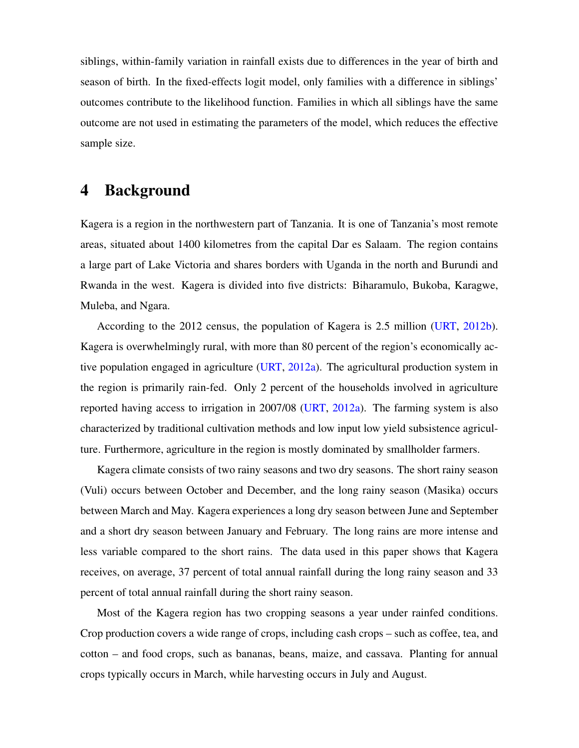siblings, within-family variation in rainfall exists due to differences in the year of birth and season of birth. In the fixed-effects logit model, only families with a difference in siblings' outcomes contribute to the likelihood function. Families in which all siblings have the same outcome are not used in estimating the parameters of the model, which reduces the effective sample size.

# 4 Background

Kagera is a region in the northwestern part of Tanzania. It is one of Tanzania's most remote areas, situated about 1400 kilometres from the capital Dar es Salaam. The region contains a large part of Lake Victoria and shares borders with Uganda in the north and Burundi and Rwanda in the west. Kagera is divided into five districts: Biharamulo, Bukoba, Karagwe, Muleba, and Ngara.

According to the 2012 census, the population of Kagera is 2.5 million [\(URT,](#page-40-4) [2012b\)](#page-40-4). Kagera is overwhelmingly rural, with more than 80 percent of the region's economically active population engaged in agriculture [\(URT,](#page-40-5) [2012a\)](#page-40-5). The agricultural production system in the region is primarily rain-fed. Only 2 percent of the households involved in agriculture reported having access to irrigation in 2007/08 [\(URT,](#page-40-5) [2012a\)](#page-40-5). The farming system is also characterized by traditional cultivation methods and low input low yield subsistence agriculture. Furthermore, agriculture in the region is mostly dominated by smallholder farmers.

Kagera climate consists of two rainy seasons and two dry seasons. The short rainy season (Vuli) occurs between October and December, and the long rainy season (Masika) occurs between March and May. Kagera experiences a long dry season between June and September and a short dry season between January and February. The long rains are more intense and less variable compared to the short rains. The data used in this paper shows that Kagera receives, on average, 37 percent of total annual rainfall during the long rainy season and 33 percent of total annual rainfall during the short rainy season.

Most of the Kagera region has two cropping seasons a year under rainfed conditions. Crop production covers a wide range of crops, including cash crops – such as coffee, tea, and cotton – and food crops, such as bananas, beans, maize, and cassava. Planting for annual crops typically occurs in March, while harvesting occurs in July and August.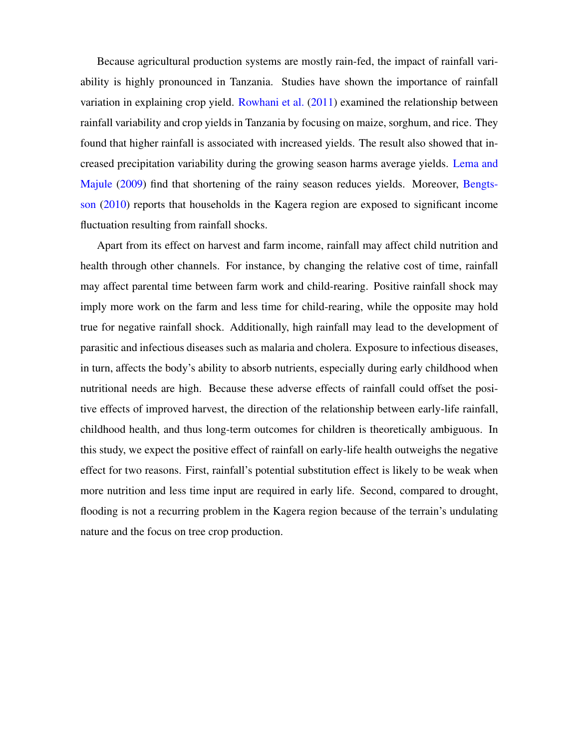Because agricultural production systems are mostly rain-fed, the impact of rainfall variability is highly pronounced in Tanzania. Studies have shown the importance of rainfall variation in explaining crop yield. [Rowhani et al.](#page-39-6) [\(2011\)](#page-39-6) examined the relationship between rainfall variability and crop yields in Tanzania by focusing on maize, sorghum, and rice. They found that higher rainfall is associated with increased yields. The result also showed that increased precipitation variability during the growing season harms average yields. [Lema and](#page-38-7) [Majule](#page-38-7) [\(2009\)](#page-38-7) find that shortening of the rainy season reduces yields. Moreover, [Bengts](#page-36-6)[son](#page-36-6) [\(2010\)](#page-36-6) reports that households in the Kagera region are exposed to significant income fluctuation resulting from rainfall shocks.

Apart from its effect on harvest and farm income, rainfall may affect child nutrition and health through other channels. For instance, by changing the relative cost of time, rainfall may affect parental time between farm work and child-rearing. Positive rainfall shock may imply more work on the farm and less time for child-rearing, while the opposite may hold true for negative rainfall shock. Additionally, high rainfall may lead to the development of parasitic and infectious diseases such as malaria and cholera. Exposure to infectious diseases, in turn, affects the body's ability to absorb nutrients, especially during early childhood when nutritional needs are high. Because these adverse effects of rainfall could offset the positive effects of improved harvest, the direction of the relationship between early-life rainfall, childhood health, and thus long-term outcomes for children is theoretically ambiguous. In this study, we expect the positive effect of rainfall on early-life health outweighs the negative effect for two reasons. First, rainfall's potential substitution effect is likely to be weak when more nutrition and less time input are required in early life. Second, compared to drought, flooding is not a recurring problem in the Kagera region because of the terrain's undulating nature and the focus on tree crop production.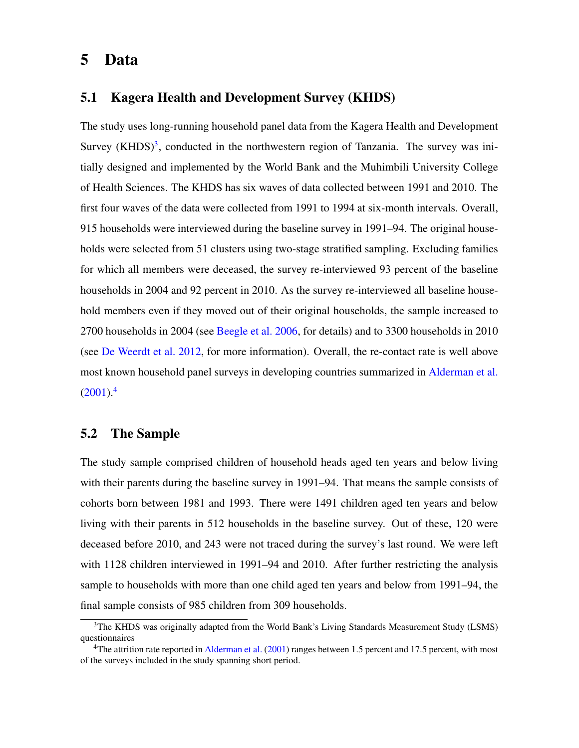### 5 Data

#### 5.1 Kagera Health and Development Survey (KHDS)

The study uses long-running household panel data from the Kagera Health and Development Survey (KHDS)<sup>[3](#page-3-0)</sup>, conducted in the northwestern region of Tanzania. The survey was initially designed and implemented by the World Bank and the Muhimbili University College of Health Sciences. The KHDS has six waves of data collected between 1991 and 2010. The first four waves of the data were collected from 1991 to 1994 at six-month intervals. Overall, 915 households were interviewed during the baseline survey in 1991–94. The original households were selected from 51 clusters using two-stage stratified sampling. Excluding families for which all members were deceased, the survey re-interviewed 93 percent of the baseline households in 2004 and 92 percent in 2010. As the survey re-interviewed all baseline household members even if they moved out of their original households, the sample increased to 2700 households in 2004 (see [Beegle et al.](#page-36-7) [2006,](#page-36-7) for details) and to 3300 households in 2010 (see [De Weerdt et al.](#page-37-8) [2012,](#page-37-8) for more information). Overall, the re-contact rate is well above most known household panel surveys in developing countries summarized in [Alderman et al.](#page-36-8)  $(2001).<sup>4</sup>$  $(2001).<sup>4</sup>$  $(2001).<sup>4</sup>$  $(2001).<sup>4</sup>$ 

#### 5.2 The Sample

The study sample comprised children of household heads aged ten years and below living with their parents during the baseline survey in 1991–94. That means the sample consists of cohorts born between 1981 and 1993. There were 1491 children aged ten years and below living with their parents in 512 households in the baseline survey. Out of these, 120 were deceased before 2010, and 243 were not traced during the survey's last round. We were left with 1128 children interviewed in 1991–94 and 2010. After further restricting the analysis sample to households with more than one child aged ten years and below from 1991–94, the final sample consists of 985 children from 309 households.

<sup>3</sup>The KHDS was originally adapted from the World Bank's Living Standards Measurement Study (LSMS) questionnaires

<sup>&</sup>lt;sup>4</sup>The attrition rate reported in [Alderman et al.](#page-36-8) [\(2001\)](#page-36-8) ranges between 1.5 percent and 17.5 percent, with most of the surveys included in the study spanning short period.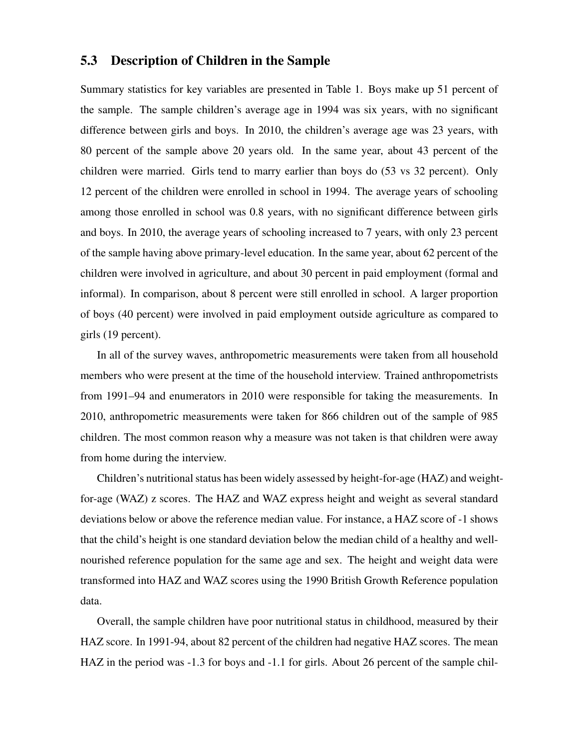#### 5.3 Description of Children in the Sample

Summary statistics for key variables are presented in Table 1. Boys make up 51 percent of the sample. The sample children's average age in 1994 was six years, with no significant difference between girls and boys. In 2010, the children's average age was 23 years, with 80 percent of the sample above 20 years old. In the same year, about 43 percent of the children were married. Girls tend to marry earlier than boys do (53 vs 32 percent). Only 12 percent of the children were enrolled in school in 1994. The average years of schooling among those enrolled in school was 0.8 years, with no significant difference between girls and boys. In 2010, the average years of schooling increased to 7 years, with only 23 percent of the sample having above primary-level education. In the same year, about 62 percent of the children were involved in agriculture, and about 30 percent in paid employment (formal and informal). In comparison, about 8 percent were still enrolled in school. A larger proportion of boys (40 percent) were involved in paid employment outside agriculture as compared to girls (19 percent).

In all of the survey waves, anthropometric measurements were taken from all household members who were present at the time of the household interview. Trained anthropometrists from 1991–94 and enumerators in 2010 were responsible for taking the measurements. In 2010, anthropometric measurements were taken for 866 children out of the sample of 985 children. The most common reason why a measure was not taken is that children were away from home during the interview.

Children's nutritional status has been widely assessed by height-for-age (HAZ) and weightfor-age (WAZ) z scores. The HAZ and WAZ express height and weight as several standard deviations below or above the reference median value. For instance, a HAZ score of -1 shows that the child's height is one standard deviation below the median child of a healthy and wellnourished reference population for the same age and sex. The height and weight data were transformed into HAZ and WAZ scores using the 1990 British Growth Reference population data.

Overall, the sample children have poor nutritional status in childhood, measured by their HAZ score. In 1991-94, about 82 percent of the children had negative HAZ scores. The mean HAZ in the period was -1.3 for boys and -1.1 for girls. About 26 percent of the sample chil-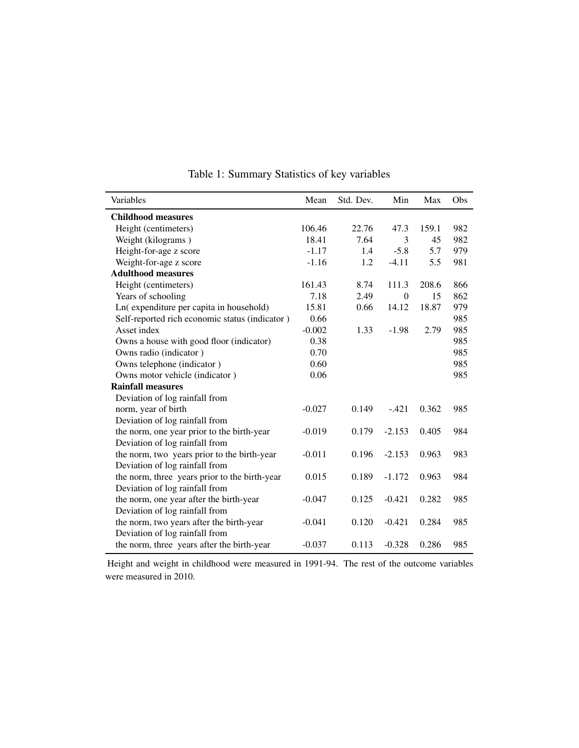| Variables                                      | Mean     | Std. Dev. | Min      | Max   | Obs |
|------------------------------------------------|----------|-----------|----------|-------|-----|
| <b>Childhood measures</b>                      |          |           |          |       |     |
| Height (centimeters)                           | 106.46   | 22.76     | 47.3     | 159.1 | 982 |
| Weight (kilograms)                             | 18.41    | 7.64      | 3        | 45    | 982 |
| Height-for-age z score                         | $-1.17$  | 1.4       | $-5.8$   | 5.7   | 979 |
| Weight-for-age z score                         | $-1.16$  | 1.2       | $-4.11$  | 5.5   | 981 |
| <b>Adulthood measures</b>                      |          |           |          |       |     |
| Height (centimeters)                           | 161.43   | 8.74      | 111.3    | 208.6 | 866 |
| Years of schooling                             | 7.18     | 2.49      | $\theta$ | 15    | 862 |
| Ln(expenditure per capita in household)        | 15.81    | 0.66      | 14.12    | 18.87 | 979 |
| Self-reported rich economic status (indicator) | 0.66     |           |          |       | 985 |
| Asset index                                    | $-0.002$ | 1.33      | $-1.98$  | 2.79  | 985 |
| Owns a house with good floor (indicator)       | 0.38     |           |          |       | 985 |
| Owns radio (indicator)                         | 0.70     |           |          |       | 985 |
| Owns telephone (indicator)                     | 0.60     |           |          |       | 985 |
| Owns motor vehicle (indicator)                 | 0.06     |           |          |       | 985 |
| <b>Rainfall measures</b>                       |          |           |          |       |     |
| Deviation of log rainfall from                 |          |           |          |       |     |
| norm, year of birth                            | $-0.027$ | 0.149     | $-.421$  | 0.362 | 985 |
| Deviation of log rainfall from                 |          |           |          |       |     |
| the norm, one year prior to the birth-year     | $-0.019$ | 0.179     | $-2.153$ | 0.405 | 984 |
| Deviation of log rainfall from                 |          |           |          |       |     |
| the norm, two years prior to the birth-year    | $-0.011$ | 0.196     | $-2.153$ | 0.963 | 983 |
| Deviation of log rainfall from                 |          |           |          |       |     |
| the norm, three years prior to the birth-year  | 0.015    | 0.189     | $-1.172$ | 0.963 | 984 |
| Deviation of log rainfall from                 |          |           |          |       |     |
| the norm, one year after the birth-year        | $-0.047$ | 0.125     | $-0.421$ | 0.282 | 985 |
| Deviation of log rainfall from                 |          |           |          |       |     |
| the norm, two years after the birth-year       | $-0.041$ | 0.120     | $-0.421$ | 0.284 | 985 |
| Deviation of log rainfall from                 |          |           |          |       |     |
| the norm, three years after the birth-year     | $-0.037$ | 0.113     | $-0.328$ | 0.286 | 985 |

Table 1: Summary Statistics of key variables

Height and weight in childhood were measured in 1991-94. The rest of the outcome variables were measured in 2010.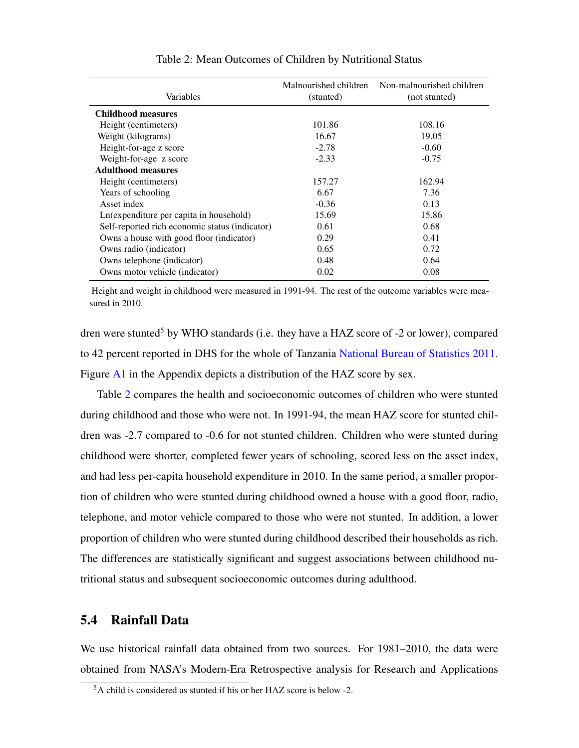<span id="page-15-0"></span>

| Variables                                      | Malnourished children<br>(stunted) | Non-malnourished children<br>(not stunted) |
|------------------------------------------------|------------------------------------|--------------------------------------------|
| <b>Childhood measures</b>                      |                                    |                                            |
| Height (centimeters)                           | 101.86                             | 108.16                                     |
| Weight (kilograms)                             | 16.67                              | 19.05                                      |
| Height-for-age z score                         | $-2.78$                            | $-0.60$                                    |
| Weight-for-age z score                         | $-2.33$                            | $-0.75$                                    |
| <b>Adulthood measures</b>                      |                                    |                                            |
| Height (centimeters)                           | 157.27                             | 162.94                                     |
| Years of schooling                             | 6.67                               | 7.36                                       |
| Asset index                                    | $-0.36$                            | 0.13                                       |
| Ln(expenditure per capita in household)        | 15.69                              | 15.86                                      |
| Self-reported rich economic status (indicator) | 0.61                               | 0.68                                       |
| Owns a house with good floor (indicator)       | 0.29                               | 0.41                                       |
| Owns radio (indicator)                         | 0.65                               | 0.72                                       |
| Owns telephone (indicator)                     | 0.48                               | 0.64                                       |
| Owns motor vehicle (indicator)                 | 0.02                               | 0.08                                       |

#### Table 2: Mean Outcomes of Children by Nutritional Status

Height and weight in childhood were measured in 1991-94. The rest of the outcome variables were measured in 2010.

dren were stunted<sup>[5](#page-3-0)</sup> by WHO standards (i.e. they have a HAZ score of  $-2$  or lower), compared to 42 percent reported in DHS for the whole of Tanzania [National Bureau of Statistics](#page-39-7) [2011.](#page-39-7) Figure [A1](#page-33-0) in the Appendix depicts a distribution of the HAZ score by sex.

Table [2](#page-15-0) compares the health and socioeconomic outcomes of children who were stunted during childhood and those who were not. In 1991-94, the mean HAZ score for stunted children was -2.7 compared to -0.6 for not stunted children. Children who were stunted during childhood were shorter, completed fewer years of schooling, scored less on the asset index, and had less per-capita household expenditure in 2010. In the same period, a smaller proportion of children who were stunted during childhood owned a house with a good floor, radio, telephone, and motor vehicle compared to those who were not stunted. In addition, a lower proportion of children who were stunted during childhood described their households as rich. The differences are statistically significant and suggest associations between childhood nutritional status and subsequent socioeconomic outcomes during adulthood.

#### 5.4 Rainfall Data

We use historical rainfall data obtained from two sources. For 1981–2010, the data were obtained from NASA's Modern-Era Retrospective analysis for Research and Applications

<sup>5</sup>A child is considered as stunted if his or her HAZ score is below -2.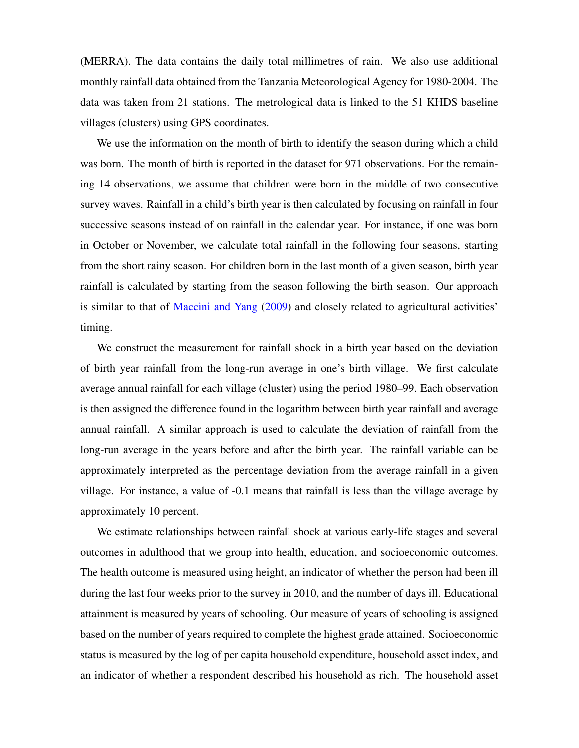(MERRA). The data contains the daily total millimetres of rain. We also use additional monthly rainfall data obtained from the Tanzania Meteorological Agency for 1980-2004. The data was taken from 21 stations. The metrological data is linked to the 51 KHDS baseline villages (clusters) using GPS coordinates.

We use the information on the month of birth to identify the season during which a child was born. The month of birth is reported in the dataset for 971 observations. For the remaining 14 observations, we assume that children were born in the middle of two consecutive survey waves. Rainfall in a child's birth year is then calculated by focusing on rainfall in four successive seasons instead of on rainfall in the calendar year. For instance, if one was born in October or November, we calculate total rainfall in the following four seasons, starting from the short rainy season. For children born in the last month of a given season, birth year rainfall is calculated by starting from the season following the birth season. Our approach is similar to that of [Maccini and Yang](#page-39-0) [\(2009\)](#page-39-0) and closely related to agricultural activities' timing.

We construct the measurement for rainfall shock in a birth year based on the deviation of birth year rainfall from the long-run average in one's birth village. We first calculate average annual rainfall for each village (cluster) using the period 1980–99. Each observation is then assigned the difference found in the logarithm between birth year rainfall and average annual rainfall. A similar approach is used to calculate the deviation of rainfall from the long-run average in the years before and after the birth year. The rainfall variable can be approximately interpreted as the percentage deviation from the average rainfall in a given village. For instance, a value of -0.1 means that rainfall is less than the village average by approximately 10 percent.

We estimate relationships between rainfall shock at various early-life stages and several outcomes in adulthood that we group into health, education, and socioeconomic outcomes. The health outcome is measured using height, an indicator of whether the person had been ill during the last four weeks prior to the survey in 2010, and the number of days ill. Educational attainment is measured by years of schooling. Our measure of years of schooling is assigned based on the number of years required to complete the highest grade attained. Socioeconomic status is measured by the log of per capita household expenditure, household asset index, and an indicator of whether a respondent described his household as rich. The household asset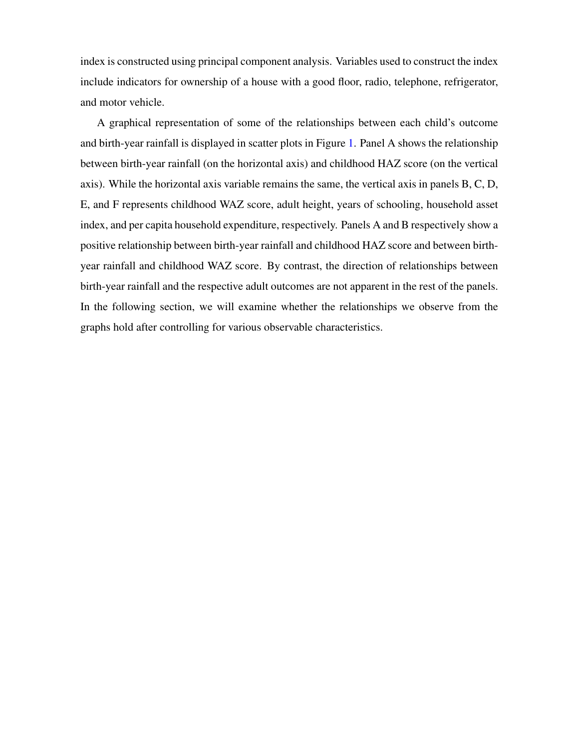index is constructed using principal component analysis. Variables used to construct the index include indicators for ownership of a house with a good floor, radio, telephone, refrigerator, and motor vehicle.

A graphical representation of some of the relationships between each child's outcome and birth-year rainfall is displayed in scatter plots in Figure [1.](#page-18-0) Panel A shows the relationship between birth-year rainfall (on the horizontal axis) and childhood HAZ score (on the vertical axis). While the horizontal axis variable remains the same, the vertical axis in panels B, C, D, E, and F represents childhood WAZ score, adult height, years of schooling, household asset index, and per capita household expenditure, respectively. Panels A and B respectively show a positive relationship between birth-year rainfall and childhood HAZ score and between birthyear rainfall and childhood WAZ score. By contrast, the direction of relationships between birth-year rainfall and the respective adult outcomes are not apparent in the rest of the panels. In the following section, we will examine whether the relationships we observe from the graphs hold after controlling for various observable characteristics.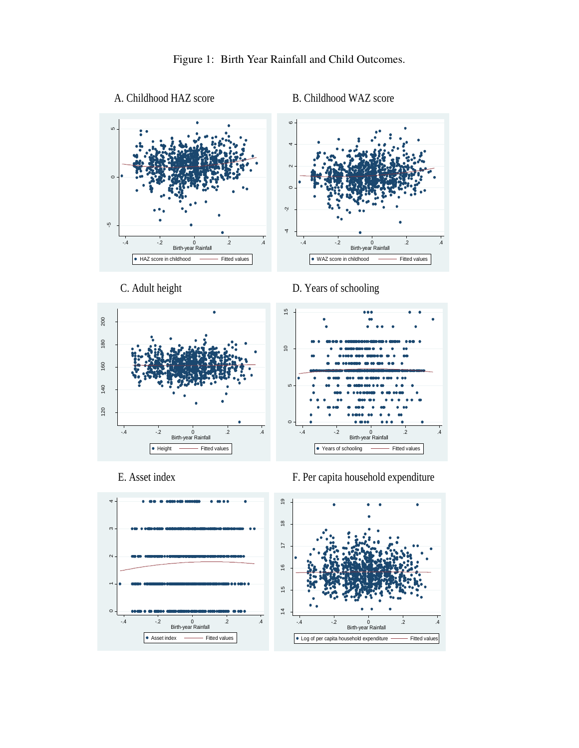<span id="page-18-0"></span>











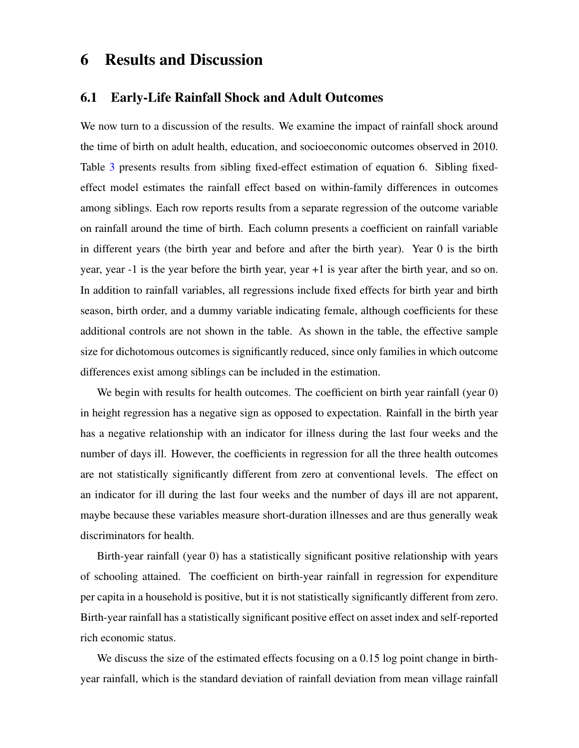## 6 Results and Discussion

#### 6.1 Early-Life Rainfall Shock and Adult Outcomes

We now turn to a discussion of the results. We examine the impact of rainfall shock around the time of birth on adult health, education, and socioeconomic outcomes observed in 2010. Table [3](#page-20-0) presents results from sibling fixed-effect estimation of equation 6. Sibling fixedeffect model estimates the rainfall effect based on within-family differences in outcomes among siblings. Each row reports results from a separate regression of the outcome variable on rainfall around the time of birth. Each column presents a coefficient on rainfall variable in different years (the birth year and before and after the birth year). Year 0 is the birth year, year -1 is the year before the birth year, year +1 is year after the birth year, and so on. In addition to rainfall variables, all regressions include fixed effects for birth year and birth season, birth order, and a dummy variable indicating female, although coefficients for these additional controls are not shown in the table. As shown in the table, the effective sample size for dichotomous outcomes is significantly reduced, since only families in which outcome differences exist among siblings can be included in the estimation.

We begin with results for health outcomes. The coefficient on birth year rainfall (year 0) in height regression has a negative sign as opposed to expectation. Rainfall in the birth year has a negative relationship with an indicator for illness during the last four weeks and the number of days ill. However, the coefficients in regression for all the three health outcomes are not statistically significantly different from zero at conventional levels. The effect on an indicator for ill during the last four weeks and the number of days ill are not apparent, maybe because these variables measure short-duration illnesses and are thus generally weak discriminators for health.

Birth-year rainfall (year 0) has a statistically significant positive relationship with years of schooling attained. The coefficient on birth-year rainfall in regression for expenditure per capita in a household is positive, but it is not statistically significantly different from zero. Birth-year rainfall has a statistically significant positive effect on asset index and self-reported rich economic status.

We discuss the size of the estimated effects focusing on a 0.15 log point change in birthyear rainfall, which is the standard deviation of rainfall deviation from mean village rainfall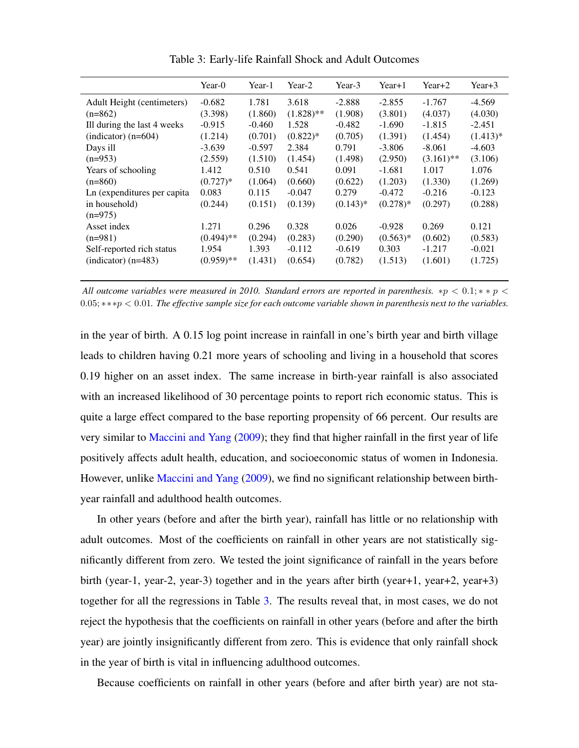<span id="page-20-0"></span>

|                              | Year-0       | Year-1   | Year-2       | Year-3     | $Year+1$   | $Year+2$     | $Year+3$   |
|------------------------------|--------------|----------|--------------|------------|------------|--------------|------------|
| Adult Height (centimeters)   | $-0.682$     | 1.781    | 3.618        | $-2.888$   | $-2.855$   | $-1.767$     | -4.569     |
| $(n=862)$                    | (3.398)      | (1.860)  | $(1.828)$ ** | (1.908)    | (3.801)    | (4.037)      | (4.030)    |
| Ill during the last 4 weeks  | $-0.915$     | $-0.460$ | 1.528        | $-0.482$   | $-1.690$   | $-1.815$     | $-2.451$   |
| (indicator) $(n=604)$        | (1.214)      | (0.701)  | $(0.822)*$   | (0.705)    | (1.391)    | (1.454)      | $(1.413)*$ |
| Days ill                     | $-3.639$     | $-0.597$ | 2.384        | 0.791      | $-3.806$   | $-8.061$     | $-4.603$   |
| $(n=953)$                    | (2.559)      | (1.510)  | (1.454)      | (1.498)    | (2.950)    | $(3.161)$ ** | (3.106)    |
| Years of schooling           | 1.412        | 0.510    | 0.541        | 0.091      | $-1.681$   | 1.017        | 1.076      |
| $(n=860)$                    | $(0.727)^*$  | (1.064)  | (0.660)      | (0.622)    | (1.203)    | (1.330)      | (1.269)    |
| Ln (expenditures per capita) | 0.083        | 0.115    | $-0.047$     | 0.279      | $-0.472$   | $-0.216$     | $-0.123$   |
| in household)                | (0.244)      | (0.151)  | (0.139)      | $(0.143)*$ | $(0.278)*$ | (0.297)      | (0.288)    |
| $(n=975)$                    |              |          |              |            |            |              |            |
| Asset index                  | 1.271        | 0.296    | 0.328        | 0.026      | $-0.928$   | 0.269        | 0.121      |
| $(n=981)$                    | $(0.494)$ ** | (0.294)  | (0.283)      | (0.290)    | $(0.563)*$ | (0.602)      | (0.583)    |
| Self-reported rich status    | 1.954        | 1.393    | $-0.112$     | $-0.619$   | 0.303      | $-1.217$     | $-0.021$   |
| $(indication)$ (n=483)       | $(0.959)$ ** | (1.431)  | (0.654)      | (0.782)    | (1.513)    | (1.601)      | (1.725)    |
|                              |              |          |              |            |            |              |            |

Table 3: Early-life Rainfall Shock and Adult Outcomes

*All outcome variables were measured in 2010. Standard errors are reported in parenthesis.*  $*p < 0.1; * * p < 0.1$ 0.05; ∗∗∗p < 0.01*. The effective sample size for each outcome variable shown in parenthesis next to the variables.*

in the year of birth. A 0.15 log point increase in rainfall in one's birth year and birth village leads to children having 0.21 more years of schooling and living in a household that scores 0.19 higher on an asset index. The same increase in birth-year rainfall is also associated with an increased likelihood of 30 percentage points to report rich economic status. This is quite a large effect compared to the base reporting propensity of 66 percent. Our results are very similar to [Maccini and Yang](#page-39-0) [\(2009\)](#page-39-0); they find that higher rainfall in the first year of life positively affects adult health, education, and socioeconomic status of women in Indonesia. However, unlike [Maccini and Yang](#page-39-0) [\(2009\)](#page-39-0), we find no significant relationship between birthyear rainfall and adulthood health outcomes.

In other years (before and after the birth year), rainfall has little or no relationship with adult outcomes. Most of the coefficients on rainfall in other years are not statistically significantly different from zero. We tested the joint significance of rainfall in the years before birth (year-1, year-2, year-3) together and in the years after birth (year+1, year+2, year+3) together for all the regressions in Table [3.](#page-20-0) The results reveal that, in most cases, we do not reject the hypothesis that the coefficients on rainfall in other years (before and after the birth year) are jointly insignificantly different from zero. This is evidence that only rainfall shock in the year of birth is vital in influencing adulthood outcomes.

Because coefficients on rainfall in other years (before and after birth year) are not sta-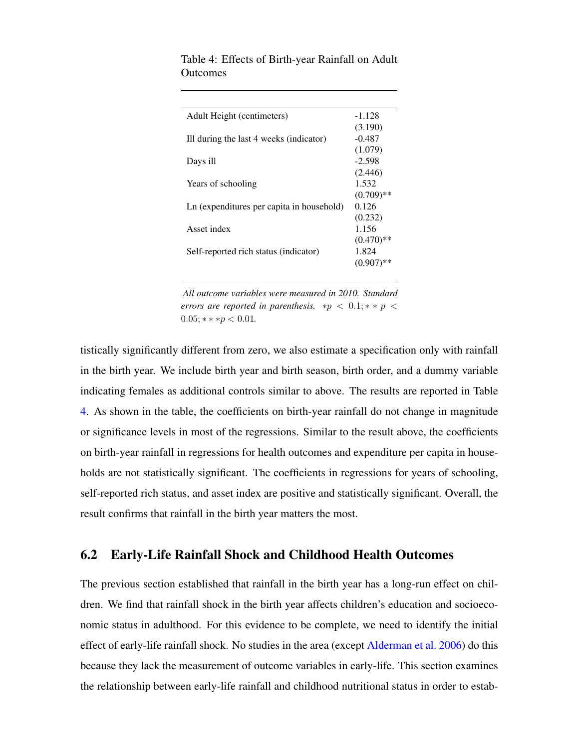| Adult Height (centimeters)                | -1.128       |
|-------------------------------------------|--------------|
|                                           | (3.190)      |
| Ill during the last 4 weeks (indicator)   | -0.487       |
|                                           | (1.079)      |
| Days ill                                  | $-2.598$     |
|                                           | (2.446)      |
| Years of schooling                        | 1.532        |
|                                           | $(0.709)$ ** |
| Ln (expenditures per capita in household) | 0.126        |
|                                           | (0.232)      |
| Asset index                               | 1.156        |
|                                           | $(0.470)$ ** |
| Self-reported rich status (indicator)     | 1.824        |
|                                           | $(0.907)$ ** |
|                                           |              |

<span id="page-21-0"></span>Table 4: Effects of Birth-year Rainfall on Adult **Outcomes** 

*All outcome variables were measured in 2010. Standard errors are reported in parenthesis.*  $*p < 0.1; **p <$  $0.05$ ; \* \* \* *p* < 0.01*.* 

tistically significantly different from zero, we also estimate a specification only with rainfall in the birth year. We include birth year and birth season, birth order, and a dummy variable indicating females as additional controls similar to above. The results are reported in Table [4.](#page-21-0) As shown in the table, the coefficients on birth-year rainfall do not change in magnitude or significance levels in most of the regressions. Similar to the result above, the coefficients on birth-year rainfall in regressions for health outcomes and expenditure per capita in households are not statistically significant. The coefficients in regressions for years of schooling, self-reported rich status, and asset index are positive and statistically significant. Overall, the result confirms that rainfall in the birth year matters the most.

#### 6.2 Early-Life Rainfall Shock and Childhood Health Outcomes

The previous section established that rainfall in the birth year has a long-run effect on children. We find that rainfall shock in the birth year affects children's education and socioeconomic status in adulthood. For this evidence to be complete, we need to identify the initial effect of early-life rainfall shock. No studies in the area (except [Alderman et al.](#page-36-0) [2006\)](#page-36-0) do this because they lack the measurement of outcome variables in early-life. This section examines the relationship between early-life rainfall and childhood nutritional status in order to estab-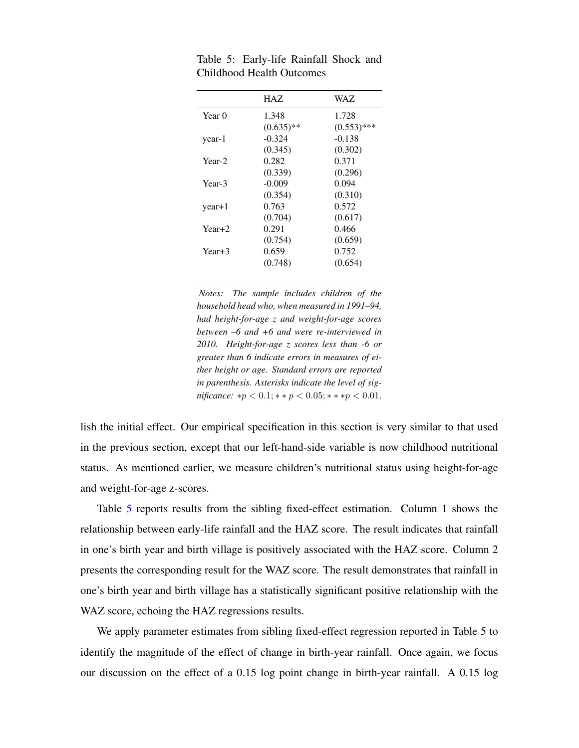|          | HAZ.         | WAZ.          |
|----------|--------------|---------------|
| Year 0   | 1.348        | 1.728         |
|          | $(0.635)$ ** | $(0.553)$ *** |
| year-1   | $-0.324$     | $-0.138$      |
|          | (0.345)      | (0.302)       |
| Year-2   | 0.282        | 0.371         |
|          | (0.339)      | (0.296)       |
| Year-3   | $-0.009$     | 0.094         |
|          | (0.354)      | (0.310)       |
| $year+1$ | 0.763        | 0.572         |
|          | (0.704)      | (0.617)       |
| $Year+2$ | 0.291        | 0.466         |
|          | (0.754)      | (0.659)       |
| Year+3   | 0.659        | 0.752         |
|          | (0.748)      | (0.654)       |
|          |              |               |

<span id="page-22-0"></span>Table 5: Early-life Rainfall Shock and Childhood Health Outcomes

*Notes: The sample includes children of the household head who, when measured in 1991–94, had height-for-age z and weight-for-age scores between –6 and +6 and were re-interviewed in 2010. Height-for-age z scores less than -6 or greater than 6 indicate errors in measures of either height or age. Standard errors are reported in parenthesis. Asterisks indicate the level of significance:*  $*p < 0.1; **p < 0.05; **pp < 0.01$ .

lish the initial effect. Our empirical specification in this section is very similar to that used in the previous section, except that our left-hand-side variable is now childhood nutritional status. As mentioned earlier, we measure children's nutritional status using height-for-age and weight-for-age z-scores.

Table [5](#page-22-0) reports results from the sibling fixed-effect estimation. Column 1 shows the relationship between early-life rainfall and the HAZ score. The result indicates that rainfall in one's birth year and birth village is positively associated with the HAZ score. Column 2 presents the corresponding result for the WAZ score. The result demonstrates that rainfall in one's birth year and birth village has a statistically significant positive relationship with the WAZ score, echoing the HAZ regressions results.

We apply parameter estimates from sibling fixed-effect regression reported in Table 5 to identify the magnitude of the effect of change in birth-year rainfall. Once again, we focus our discussion on the effect of a 0.15 log point change in birth-year rainfall. A 0.15 log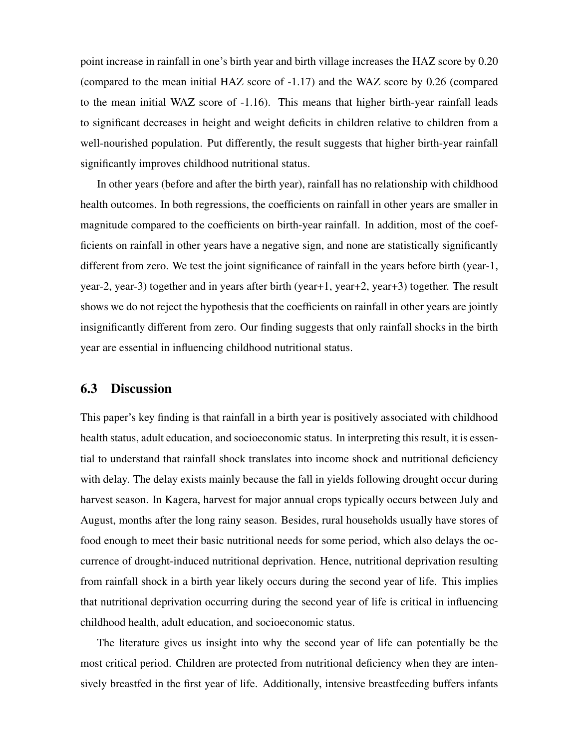point increase in rainfall in one's birth year and birth village increases the HAZ score by 0.20 (compared to the mean initial HAZ score of -1.17) and the WAZ score by 0.26 (compared to the mean initial WAZ score of -1.16). This means that higher birth-year rainfall leads to significant decreases in height and weight deficits in children relative to children from a well-nourished population. Put differently, the result suggests that higher birth-year rainfall significantly improves childhood nutritional status.

In other years (before and after the birth year), rainfall has no relationship with childhood health outcomes. In both regressions, the coefficients on rainfall in other years are smaller in magnitude compared to the coefficients on birth-year rainfall. In addition, most of the coefficients on rainfall in other years have a negative sign, and none are statistically significantly different from zero. We test the joint significance of rainfall in the years before birth (year-1, year-2, year-3) together and in years after birth (year+1, year+2, year+3) together. The result shows we do not reject the hypothesis that the coefficients on rainfall in other years are jointly insignificantly different from zero. Our finding suggests that only rainfall shocks in the birth year are essential in influencing childhood nutritional status.

#### 6.3 Discussion

This paper's key finding is that rainfall in a birth year is positively associated with childhood health status, adult education, and socioeconomic status. In interpreting this result, it is essential to understand that rainfall shock translates into income shock and nutritional deficiency with delay. The delay exists mainly because the fall in yields following drought occur during harvest season. In Kagera, harvest for major annual crops typically occurs between July and August, months after the long rainy season. Besides, rural households usually have stores of food enough to meet their basic nutritional needs for some period, which also delays the occurrence of drought-induced nutritional deprivation. Hence, nutritional deprivation resulting from rainfall shock in a birth year likely occurs during the second year of life. This implies that nutritional deprivation occurring during the second year of life is critical in influencing childhood health, adult education, and socioeconomic status.

The literature gives us insight into why the second year of life can potentially be the most critical period. Children are protected from nutritional deficiency when they are intensively breastfed in the first year of life. Additionally, intensive breastfeeding buffers infants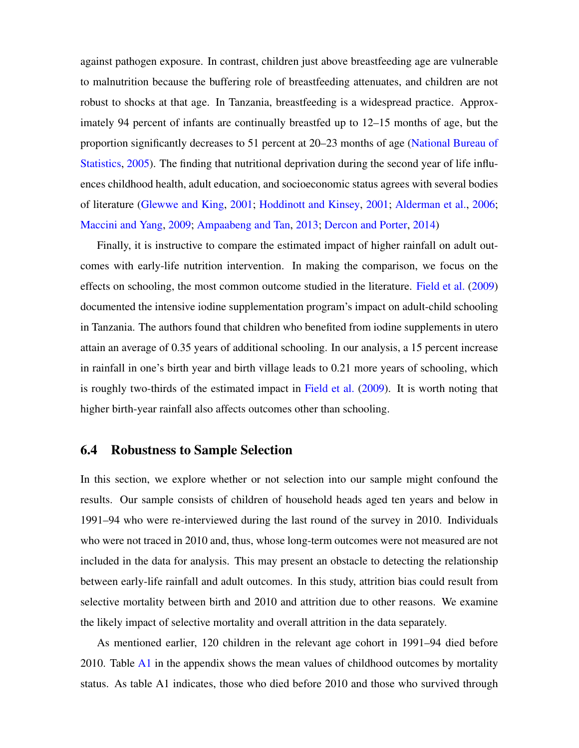against pathogen exposure. In contrast, children just above breastfeeding age are vulnerable to malnutrition because the buffering role of breastfeeding attenuates, and children are not robust to shocks at that age. In Tanzania, breastfeeding is a widespread practice. Approximately 94 percent of infants are continually breastfed up to 12–15 months of age, but the proportion significantly decreases to 51 percent at 20–23 months of age [\(National Bureau of](#page-39-8) [Statistics,](#page-39-8) [2005\)](#page-39-8). The finding that nutritional deprivation during the second year of life influences childhood health, adult education, and socioeconomic status agrees with several bodies of literature [\(Glewwe and King,](#page-38-3) [2001;](#page-38-3) [Hoddinott and Kinsey,](#page-38-4) [2001;](#page-38-4) [Alderman et al.,](#page-36-0) [2006;](#page-36-0) [Maccini and Yang,](#page-39-0) [2009;](#page-39-0) [Ampaabeng and Tan,](#page-36-2) [2013;](#page-36-2) [Dercon and Porter,](#page-37-2) [2014\)](#page-37-2)

Finally, it is instructive to compare the estimated impact of higher rainfall on adult outcomes with early-life nutrition intervention. In making the comparison, we focus on the effects on schooling, the most common outcome studied in the literature. [Field et al.](#page-37-9) [\(2009\)](#page-37-9) documented the intensive iodine supplementation program's impact on adult-child schooling in Tanzania. The authors found that children who benefited from iodine supplements in utero attain an average of 0.35 years of additional schooling. In our analysis, a 15 percent increase in rainfall in one's birth year and birth village leads to 0.21 more years of schooling, which is roughly two-thirds of the estimated impact in [Field et al.](#page-37-9) [\(2009\)](#page-37-9). It is worth noting that higher birth-year rainfall also affects outcomes other than schooling.

#### 6.4 Robustness to Sample Selection

In this section, we explore whether or not selection into our sample might confound the results. Our sample consists of children of household heads aged ten years and below in 1991–94 who were re-interviewed during the last round of the survey in 2010. Individuals who were not traced in 2010 and, thus, whose long-term outcomes were not measured are not included in the data for analysis. This may present an obstacle to detecting the relationship between early-life rainfall and adult outcomes. In this study, attrition bias could result from selective mortality between birth and 2010 and attrition due to other reasons. We examine the likely impact of selective mortality and overall attrition in the data separately.

As mentioned earlier, 120 children in the relevant age cohort in 1991–94 died before 2010. Table  $\overline{A1}$  $\overline{A1}$  $\overline{A1}$  in the appendix shows the mean values of childhood outcomes by mortality status. As table A1 indicates, those who died before 2010 and those who survived through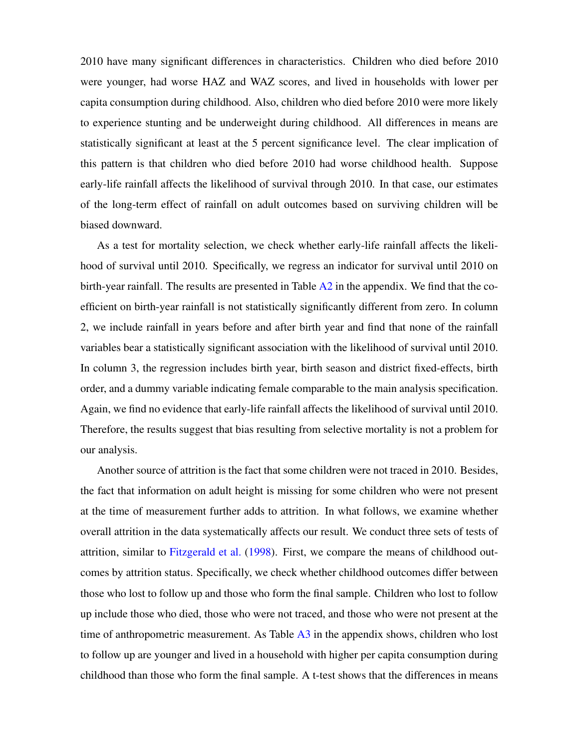2010 have many significant differences in characteristics. Children who died before 2010 were younger, had worse HAZ and WAZ scores, and lived in households with lower per capita consumption during childhood. Also, children who died before 2010 were more likely to experience stunting and be underweight during childhood. All differences in means are statistically significant at least at the 5 percent significance level. The clear implication of this pattern is that children who died before 2010 had worse childhood health. Suppose early-life rainfall affects the likelihood of survival through 2010. In that case, our estimates of the long-term effect of rainfall on adult outcomes based on surviving children will be biased downward.

As a test for mortality selection, we check whether early-life rainfall affects the likelihood of survival until 2010. Specifically, we regress an indicator for survival until 2010 on birth-year rainfall. The results are presented in Table  $A2$  in the appendix. We find that the coefficient on birth-year rainfall is not statistically significantly different from zero. In column 2, we include rainfall in years before and after birth year and find that none of the rainfall variables bear a statistically significant association with the likelihood of survival until 2010. In column 3, the regression includes birth year, birth season and district fixed-effects, birth order, and a dummy variable indicating female comparable to the main analysis specification. Again, we find no evidence that early-life rainfall affects the likelihood of survival until 2010. Therefore, the results suggest that bias resulting from selective mortality is not a problem for our analysis.

Another source of attrition is the fact that some children were not traced in 2010. Besides, the fact that information on adult height is missing for some children who were not present at the time of measurement further adds to attrition. In what follows, we examine whether overall attrition in the data systematically affects our result. We conduct three sets of tests of attrition, similar to [Fitzgerald et al.](#page-38-8) [\(1998\)](#page-38-8). First, we compare the means of childhood outcomes by attrition status. Specifically, we check whether childhood outcomes differ between those who lost to follow up and those who form the final sample. Children who lost to follow up include those who died, those who were not traced, and those who were not present at the time of anthropometric measurement. As Table [A3](#page-32-2) in the appendix shows, children who lost to follow up are younger and lived in a household with higher per capita consumption during childhood than those who form the final sample. A t-test shows that the differences in means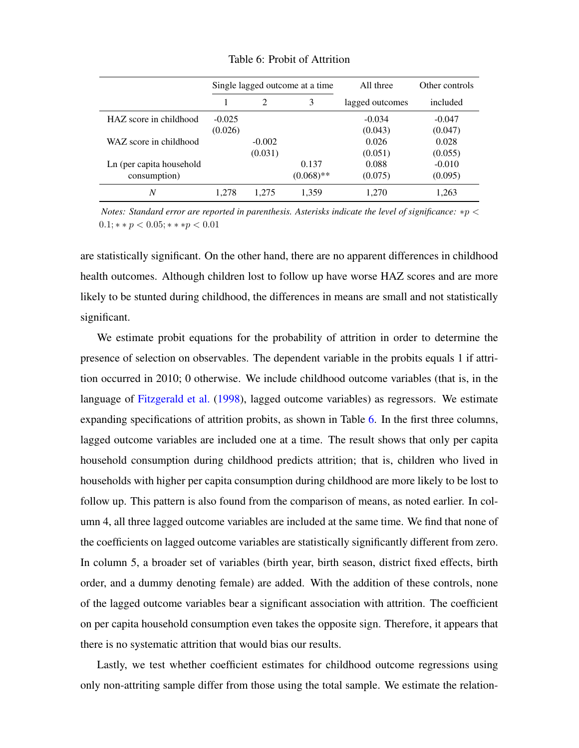<span id="page-26-0"></span>

|                          | Single lagged outcome at a time |                | All three    | Other controls  |          |
|--------------------------|---------------------------------|----------------|--------------|-----------------|----------|
|                          |                                 | $\overline{c}$ | 3            | lagged outcomes | included |
| HAZ score in childhood   | $-0.025$                        |                |              | $-0.034$        | $-0.047$ |
|                          | (0.026)                         |                |              | (0.043)         | (0.047)  |
| WAZ score in childhood   |                                 | $-0.002$       |              | 0.026           | 0.028    |
|                          |                                 | (0.031)        |              | (0.051)         | (0.055)  |
| Ln (per capita household |                                 |                | 0.137        | 0.088           | $-0.010$ |
| consumption)             |                                 |                | $(0.068)$ ** | (0.075)         | (0.095)  |
| N                        | 1.278                           | 1.275          | 1,359        | 1.270           | 1,263    |

Table 6: Probit of Attrition

*Notes: Standard error are reported in parenthesis. Asterisks indicate the level of significance:* ∗p <  $0.1$ ; \* \*  $p < 0.05$ ; \* \* \*  $p < 0.01$ 

are statistically significant. On the other hand, there are no apparent differences in childhood health outcomes. Although children lost to follow up have worse HAZ scores and are more likely to be stunted during childhood, the differences in means are small and not statistically significant.

We estimate probit equations for the probability of attrition in order to determine the presence of selection on observables. The dependent variable in the probits equals 1 if attrition occurred in 2010; 0 otherwise. We include childhood outcome variables (that is, in the language of [Fitzgerald et al.](#page-38-8) [\(1998\)](#page-38-8), lagged outcome variables) as regressors. We estimate expanding specifications of attrition probits, as shown in Table [6.](#page-26-0) In the first three columns, lagged outcome variables are included one at a time. The result shows that only per capita household consumption during childhood predicts attrition; that is, children who lived in households with higher per capita consumption during childhood are more likely to be lost to follow up. This pattern is also found from the comparison of means, as noted earlier. In column 4, all three lagged outcome variables are included at the same time. We find that none of the coefficients on lagged outcome variables are statistically significantly different from zero. In column 5, a broader set of variables (birth year, birth season, district fixed effects, birth order, and a dummy denoting female) are added. With the addition of these controls, none of the lagged outcome variables bear a significant association with attrition. The coefficient on per capita household consumption even takes the opposite sign. Therefore, it appears that there is no systematic attrition that would bias our results.

Lastly, we test whether coefficient estimates for childhood outcome regressions using only non-attriting sample differ from those using the total sample. We estimate the relation-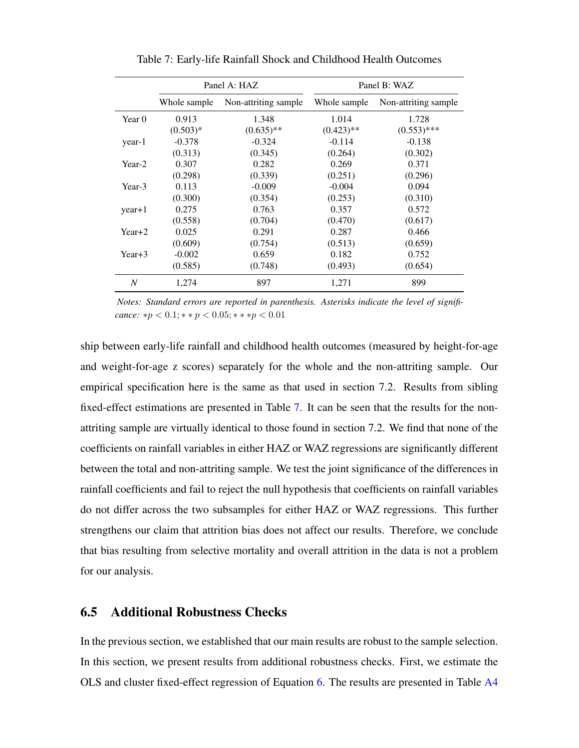<span id="page-27-0"></span>

|                | Panel A: HAZ |                      |              | Panel B: WAZ         |
|----------------|--------------|----------------------|--------------|----------------------|
|                | Whole sample | Non-attriting sample | Whole sample | Non-attriting sample |
| Year 0         | 0.913        | 1.348                | 1.014        | 1.728                |
|                | $(0.503)*$   | $(0.635)$ **         | $(0.423)$ ** | $(0.553)$ ***        |
| year-1         | $-0.378$     | $-0.324$             | $-0.114$     | $-0.138$             |
|                | (0.313)      | (0.345)              | (0.264)      | (0.302)              |
| Year-2         | 0.307        | 0.282                | 0.269        | 0.371                |
|                | (0.298)      | (0.339)              | (0.251)      | (0.296)              |
| Year-3         | 0.113        | $-0.009$             | $-0.004$     | 0.094                |
|                | (0.300)      | (0.354)              | (0.253)      | (0.310)              |
| $year+1$       | 0.275        | 0.763                | 0.357        | 0.572                |
|                | (0.558)      | (0.704)              | (0.470)      | (0.617)              |
| $Year+2$       | 0.025        | 0.291                | 0.287        | 0.466                |
|                | (0.609)      | (0.754)              | (0.513)      | (0.659)              |
| $Year+3$       | $-0.002$     | 0.659                | 0.182        | 0.752                |
|                | (0.585)      | (0.748)              | (0.493)      | (0.654)              |
| $\overline{N}$ | 1.274        | 897                  | 1,271        | 899                  |

Table 7: Early-life Rainfall Shock and Childhood Health Outcomes

*Notes: Standard errors are reported in parenthesis. Asterisks indicate the level of signifi* $cance: *p < 0.1; * *p < 0.05; ** *p < 0.01$ 

ship between early-life rainfall and childhood health outcomes (measured by height-for-age and weight-for-age z scores) separately for the whole and the non-attriting sample. Our empirical specification here is the same as that used in section 7.2. Results from sibling fixed-effect estimations are presented in Table [7.](#page-27-0) It can be seen that the results for the nonattriting sample are virtually identical to those found in section 7.2. We find that none of the coefficients on rainfall variables in either HAZ or WAZ regressions are significantly different between the total and non-attriting sample. We test the joint significance of the differences in rainfall coefficients and fail to reject the null hypothesis that coefficients on rainfall variables do not differ across the two subsamples for either HAZ or WAZ regressions. This further strengthens our claim that attrition bias does not affect our results. Therefore, we conclude that bias resulting from selective mortality and overall attrition in the data is not a problem for our analysis.

#### 6.5 Additional Robustness Checks

In the previous section, we established that our main results are robust to the sample selection. In this section, we present results from additional robustness checks. First, we estimate the OLS and cluster fixed-effect regression of Equation [6.](#page-8-1) The results are presented in Table [A4](#page-34-0)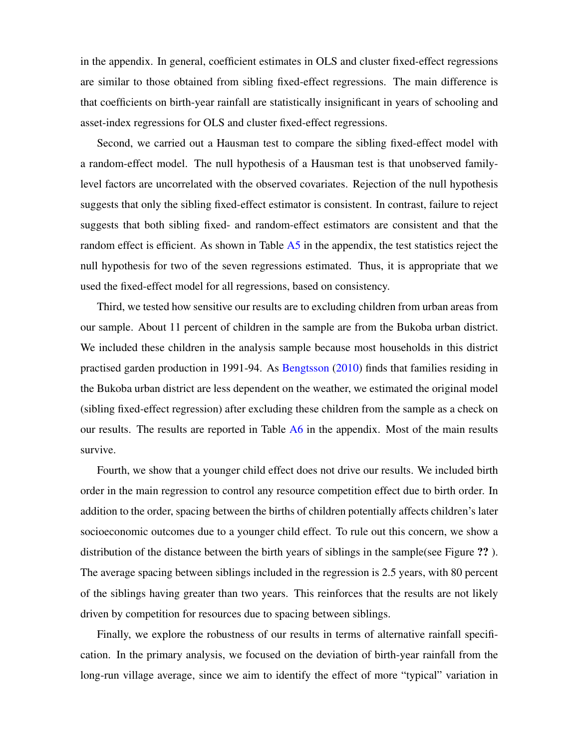in the appendix. In general, coefficient estimates in OLS and cluster fixed-effect regressions are similar to those obtained from sibling fixed-effect regressions. The main difference is that coefficients on birth-year rainfall are statistically insignificant in years of schooling and asset-index regressions for OLS and cluster fixed-effect regressions.

Second, we carried out a Hausman test to compare the sibling fixed-effect model with a random-effect model. The null hypothesis of a Hausman test is that unobserved familylevel factors are uncorrelated with the observed covariates. Rejection of the null hypothesis suggests that only the sibling fixed-effect estimator is consistent. In contrast, failure to reject suggests that both sibling fixed- and random-effect estimators are consistent and that the random effect is efficient. As shown in Table [A5](#page-34-1) in the appendix, the test statistics reject the null hypothesis for two of the seven regressions estimated. Thus, it is appropriate that we used the fixed-effect model for all regressions, based on consistency.

Third, we tested how sensitive our results are to excluding children from urban areas from our sample. About 11 percent of children in the sample are from the Bukoba urban district. We included these children in the analysis sample because most households in this district practised garden production in 1991-94. As [Bengtsson](#page-36-6) [\(2010\)](#page-36-6) finds that families residing in the Bukoba urban district are less dependent on the weather, we estimated the original model (sibling fixed-effect regression) after excluding these children from the sample as a check on our results. The results are reported in Table [A6](#page-35-0) in the appendix. Most of the main results survive.

Fourth, we show that a younger child effect does not drive our results. We included birth order in the main regression to control any resource competition effect due to birth order. In addition to the order, spacing between the births of children potentially affects children's later socioeconomic outcomes due to a younger child effect. To rule out this concern, we show a distribution of the distance between the birth years of siblings in the sample(see Figure ?? ). The average spacing between siblings included in the regression is 2.5 years, with 80 percent of the siblings having greater than two years. This reinforces that the results are not likely driven by competition for resources due to spacing between siblings.

Finally, we explore the robustness of our results in terms of alternative rainfall specification. In the primary analysis, we focused on the deviation of birth-year rainfall from the long-run village average, since we aim to identify the effect of more "typical" variation in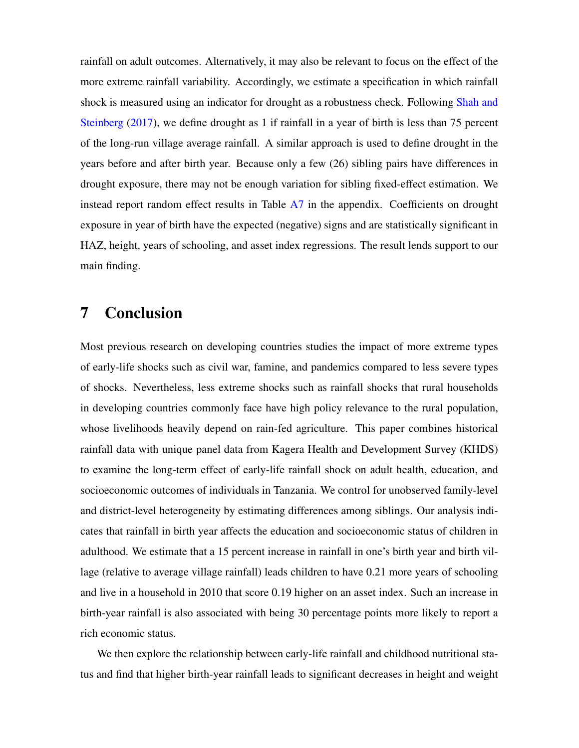rainfall on adult outcomes. Alternatively, it may also be relevant to focus on the effect of the more extreme rainfall variability. Accordingly, we estimate a specification in which rainfall shock is measured using an indicator for drought as a robustness check. Following [Shah and](#page-39-5) [Steinberg](#page-39-5) [\(2017\)](#page-39-5), we define drought as 1 if rainfall in a year of birth is less than 75 percent of the long-run village average rainfall. A similar approach is used to define drought in the years before and after birth year. Because only a few (26) sibling pairs have differences in drought exposure, there may not be enough variation for sibling fixed-effect estimation. We instead report random effect results in Table [A7](#page-35-1) in the appendix. Coefficients on drought exposure in year of birth have the expected (negative) signs and are statistically significant in HAZ, height, years of schooling, and asset index regressions. The result lends support to our main finding.

# 7 Conclusion

Most previous research on developing countries studies the impact of more extreme types of early-life shocks such as civil war, famine, and pandemics compared to less severe types of shocks. Nevertheless, less extreme shocks such as rainfall shocks that rural households in developing countries commonly face have high policy relevance to the rural population, whose livelihoods heavily depend on rain-fed agriculture. This paper combines historical rainfall data with unique panel data from Kagera Health and Development Survey (KHDS) to examine the long-term effect of early-life rainfall shock on adult health, education, and socioeconomic outcomes of individuals in Tanzania. We control for unobserved family-level and district-level heterogeneity by estimating differences among siblings. Our analysis indicates that rainfall in birth year affects the education and socioeconomic status of children in adulthood. We estimate that a 15 percent increase in rainfall in one's birth year and birth village (relative to average village rainfall) leads children to have 0.21 more years of schooling and live in a household in 2010 that score 0.19 higher on an asset index. Such an increase in birth-year rainfall is also associated with being 30 percentage points more likely to report a rich economic status.

We then explore the relationship between early-life rainfall and childhood nutritional status and find that higher birth-year rainfall leads to significant decreases in height and weight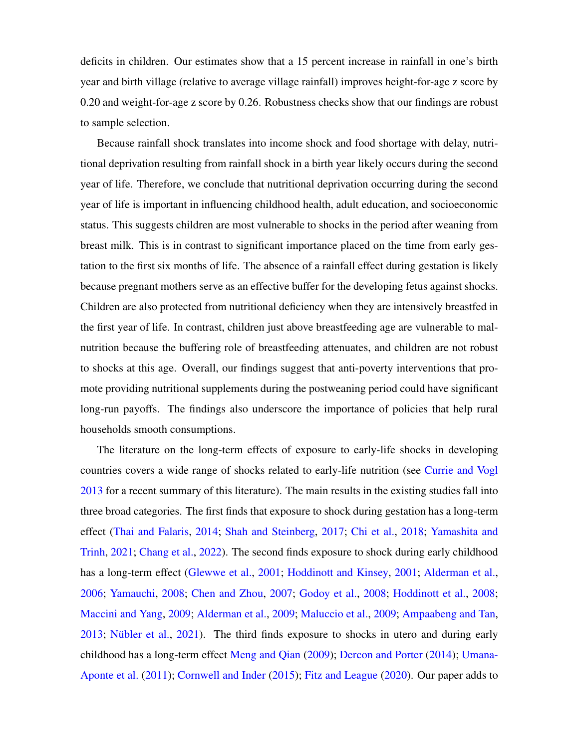deficits in children. Our estimates show that a 15 percent increase in rainfall in one's birth year and birth village (relative to average village rainfall) improves height-for-age z score by 0.20 and weight-for-age z score by 0.26. Robustness checks show that our findings are robust to sample selection.

Because rainfall shock translates into income shock and food shortage with delay, nutritional deprivation resulting from rainfall shock in a birth year likely occurs during the second year of life. Therefore, we conclude that nutritional deprivation occurring during the second year of life is important in influencing childhood health, adult education, and socioeconomic status. This suggests children are most vulnerable to shocks in the period after weaning from breast milk. This is in contrast to significant importance placed on the time from early gestation to the first six months of life. The absence of a rainfall effect during gestation is likely because pregnant mothers serve as an effective buffer for the developing fetus against shocks. Children are also protected from nutritional deficiency when they are intensively breastfed in the first year of life. In contrast, children just above breastfeeding age are vulnerable to malnutrition because the buffering role of breastfeeding attenuates, and children are not robust to shocks at this age. Overall, our findings suggest that anti-poverty interventions that promote providing nutritional supplements during the postweaning period could have significant long-run payoffs. The findings also underscore the importance of policies that help rural households smooth consumptions.

The literature on the long-term effects of exposure to early-life shocks in developing countries covers a wide range of shocks related to early-life nutrition (see [Currie and Vogl](#page-37-10) [2013](#page-37-10) for a recent summary of this literature). The main results in the existing studies fall into three broad categories. The first finds that exposure to shock during gestation has a long-term effect [\(Thai and Falaris,](#page-39-2) [2014;](#page-39-2) [Shah and Steinberg,](#page-39-5) [2017;](#page-39-5) [Chi et al.,](#page-37-4) [2018;](#page-37-4) [Yamashita and](#page-40-3) [Trinh,](#page-40-3) [2021;](#page-40-3) [Chang et al.,](#page-37-5) [2022\)](#page-37-5). The second finds exposure to shock during early childhood has a long-term effect [\(Glewwe et al.,](#page-38-0) [2001;](#page-38-0) [Hoddinott and Kinsey,](#page-38-4) [2001;](#page-38-4) [Alderman et al.,](#page-36-0) [2006;](#page-36-0) [Yamauchi,](#page-40-6) [2008;](#page-40-6) [Chen and Zhou,](#page-37-1) [2007;](#page-37-1) [Godoy et al.,](#page-38-1) [2008;](#page-38-1) [Hoddinott et al.,](#page-38-9) [2008;](#page-38-9) [Maccini and Yang,](#page-39-0) [2009;](#page-39-0) [Alderman et al.,](#page-36-3) [2009;](#page-36-3) [Maluccio et al.,](#page-39-9) [2009;](#page-39-9) [Ampaabeng and Tan,](#page-36-2)  $2013$ ; Nübler et al.,  $2021$ ). The third finds exposure to shocks in utero and during early childhood has a long-term effect [Meng and Qian](#page-39-1) [\(2009\)](#page-39-1); [Dercon and Porter](#page-37-2) [\(2014\)](#page-37-2); [Umana-](#page-40-0)[Aponte et al.](#page-40-0) [\(2011\)](#page-40-0); [Cornwell and Inder](#page-37-3) [\(2015\)](#page-37-3); [Fitz and League](#page-38-2) [\(2020\)](#page-38-2). Our paper adds to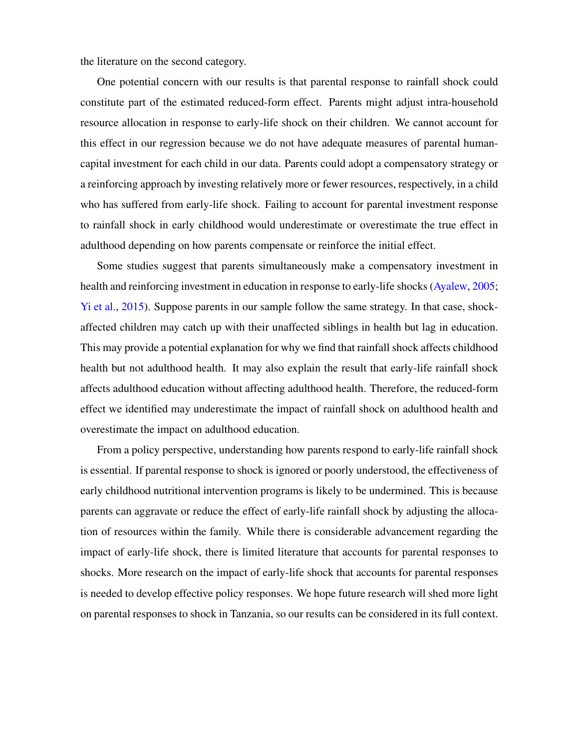the literature on the second category.

One potential concern with our results is that parental response to rainfall shock could constitute part of the estimated reduced-form effect. Parents might adjust intra-household resource allocation in response to early-life shock on their children. We cannot account for this effect in our regression because we do not have adequate measures of parental humancapital investment for each child in our data. Parents could adopt a compensatory strategy or a reinforcing approach by investing relatively more or fewer resources, respectively, in a child who has suffered from early-life shock. Failing to account for parental investment response to rainfall shock in early childhood would underestimate or overestimate the true effect in adulthood depending on how parents compensate or reinforce the initial effect.

Some studies suggest that parents simultaneously make a compensatory investment in health and reinforcing investment in education in response to early-life shocks [\(Ayalew,](#page-36-9) [2005;](#page-36-9) [Yi et al.,](#page-40-7) [2015\)](#page-40-7). Suppose parents in our sample follow the same strategy. In that case, shockaffected children may catch up with their unaffected siblings in health but lag in education. This may provide a potential explanation for why we find that rainfall shock affects childhood health but not adulthood health. It may also explain the result that early-life rainfall shock affects adulthood education without affecting adulthood health. Therefore, the reduced-form effect we identified may underestimate the impact of rainfall shock on adulthood health and overestimate the impact on adulthood education.

From a policy perspective, understanding how parents respond to early-life rainfall shock is essential. If parental response to shock is ignored or poorly understood, the effectiveness of early childhood nutritional intervention programs is likely to be undermined. This is because parents can aggravate or reduce the effect of early-life rainfall shock by adjusting the allocation of resources within the family. While there is considerable advancement regarding the impact of early-life shock, there is limited literature that accounts for parental responses to shocks. More research on the impact of early-life shock that accounts for parental responses is needed to develop effective policy responses. We hope future research will shed more light on parental responses to shock in Tanzania, so our results can be considered in its full context.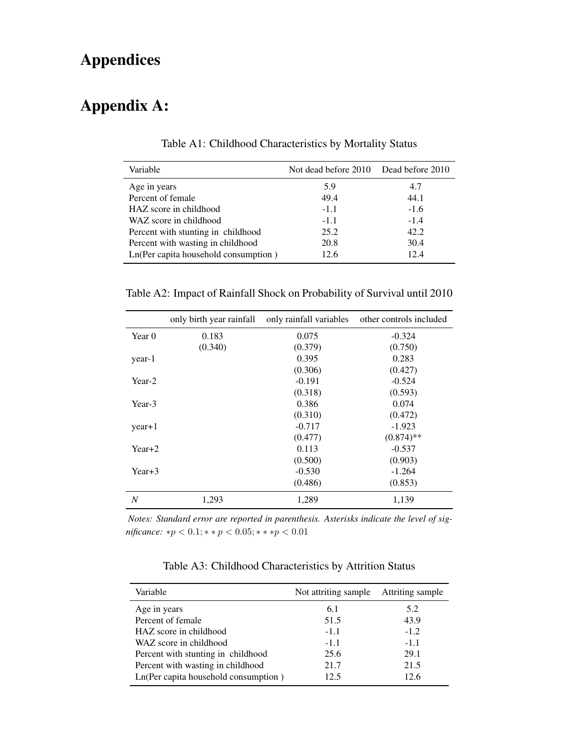# Appendices

# <span id="page-32-0"></span>Appendix A:

| Variable                             | Not dead before 2010 Dead before 2010 |        |
|--------------------------------------|---------------------------------------|--------|
| Age in years                         | 5.9                                   | 4.7    |
| Percent of female                    | 49.4                                  | 44.1   |
| HAZ score in childhood               | $-1.1$                                | $-1.6$ |
| WAZ score in childhood               | $-1.1$                                | $-1.4$ |
| Percent with stunting in childhood   | 25.2                                  | 42.2   |
| Percent with wasting in childhood    | 20.8                                  | 30.4   |
| Ln(Per capita household consumption) | 12.6                                  | 12.4   |

Table A1: Childhood Characteristics by Mortality Status

<span id="page-32-1"></span>Table A2: Impact of Rainfall Shock on Probability of Survival until 2010

|          | only birth year rainfall | only rainfall variables | other controls included |
|----------|--------------------------|-------------------------|-------------------------|
| Year 0   | 0.183                    | 0.075                   | $-0.324$                |
|          | (0.340)                  | (0.379)                 | (0.750)                 |
| year-1   |                          | 0.395                   | 0.283                   |
|          |                          | (0.306)                 | (0.427)                 |
| Year-2   |                          | $-0.191$                | $-0.524$                |
|          |                          | (0.318)                 | (0.593)                 |
| Year-3   |                          | 0.386                   | 0.074                   |
|          |                          | (0.310)                 | (0.472)                 |
| $year+1$ |                          | $-0.717$                | $-1.923$                |
|          |                          | (0.477)                 | $(0.874)$ **            |
| Year+2   |                          | 0.113                   | $-0.537$                |
|          |                          | (0.500)                 | (0.903)                 |
| Year+3   |                          | $-0.530$                | $-1.264$                |
|          |                          | (0.486)                 | (0.853)                 |
| N        | 1,293                    | 1,289                   | 1,139                   |

*Notes: Standard error are reported in parenthesis. Asterisks indicate the level of significance:* ∗ $p$  < 0.1; ∗ ∗  $p$  < 0.05; ∗ ∗ ∗ $p$  < 0.01

Table A3: Childhood Characteristics by Attrition Status

<span id="page-32-2"></span>

| Variable                             | Not attriting sample | Attriting sample |
|--------------------------------------|----------------------|------------------|
| Age in years                         | 6.1                  | 5.2              |
| Percent of female                    | 51.5                 | 43.9             |
| HAZ score in childhood               | $-1.1$               | $-1.2$           |
| WAZ score in childhood               | $-1.1$               | $-1.1$           |
| Percent with stunting in childhood   | 25.6                 | 29.1             |
| Percent with wasting in childhood    | 21.7                 | 21.5             |
| Ln(Per capita household consumption) | 12.5                 | 12.6             |
|                                      |                      |                  |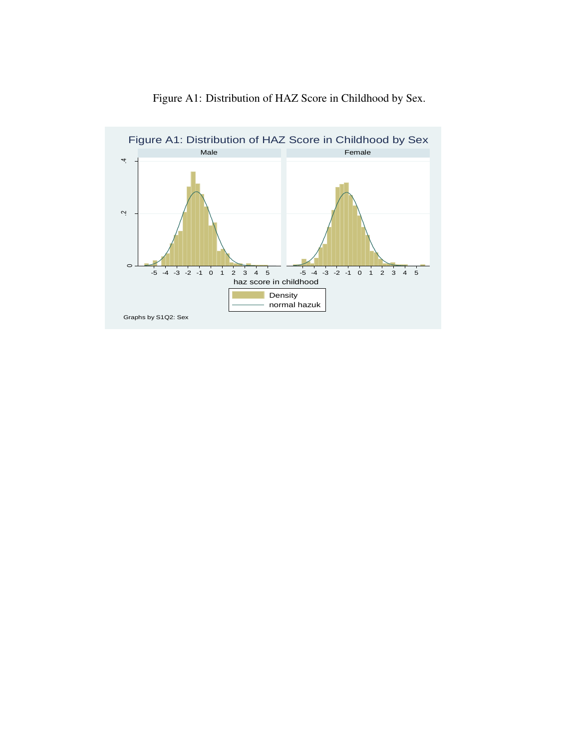<span id="page-33-0"></span>

Figure A1: Distribution of HAZ Score in Childhood by Sex.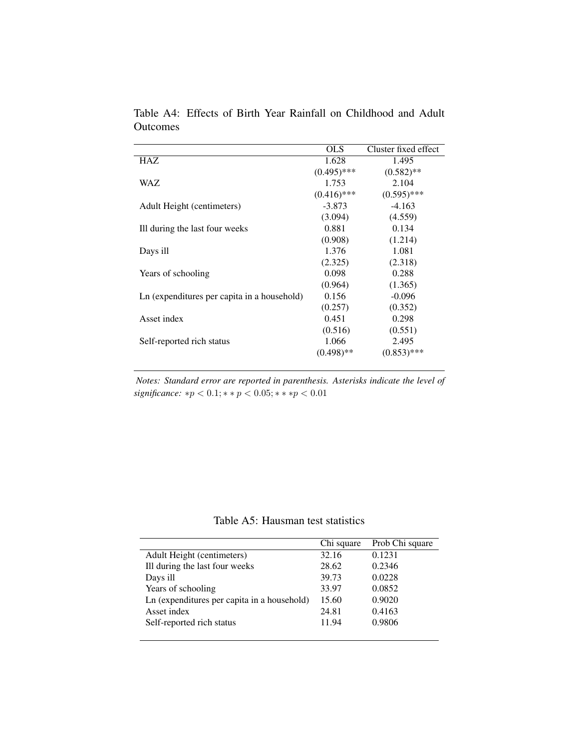|                                             | <b>OLS</b>    | Cluster fixed effect |
|---------------------------------------------|---------------|----------------------|
| HAZ                                         | 1.628         | 1.495                |
|                                             | $(0.495)$ *** | $(0.582)$ **         |
| <b>WAZ</b>                                  | 1.753         | 2.104                |
|                                             | $(0.416)$ *** | $(0.595)$ ***        |
| Adult Height (centimeters)                  | $-3.873$      | $-4.163$             |
|                                             | (3.094)       | (4.559)              |
| Ill during the last four weeks              | 0.881         | 0.134                |
|                                             | (0.908)       | (1.214)              |
| Days ill                                    | 1.376         | 1.081                |
|                                             | (2.325)       | (2.318)              |
| Years of schooling                          | 0.098         | 0.288                |
|                                             | (0.964)       | (1.365)              |
| Ln (expenditures per capita in a household) | 0.156         | $-0.096$             |
|                                             | (0.257)       | (0.352)              |
| Asset index                                 | 0.451         | 0.298                |
|                                             | (0.516)       | (0.551)              |
| Self-reported rich status                   | 1.066         | 2.495                |
|                                             | $(0.498)$ **  | $(0.853)$ ***        |
|                                             |               |                      |

<span id="page-34-0"></span>Table A4: Effects of Birth Year Rainfall on Childhood and Adult **Outcomes** 

*Notes: Standard error are reported in parenthesis. Asterisks indicate the level of*  ${significance: * p < 0.1; * * p < 0.05; * * * p < 0.01}$ 

Table A5: Hausman test statistics

<span id="page-34-1"></span>

|                                             | Chi square | Prob Chi square |
|---------------------------------------------|------------|-----------------|
| Adult Height (centimeters)                  | 32.16      | 0.1231          |
| Ill during the last four weeks              | 28.62      | 0.2346          |
| Days ill                                    | 39.73      | 0.0228          |
| Years of schooling                          | 33.97      | 0.0852          |
| Ln (expenditures per capita in a household) | 15.60      | 0.9020          |
| Asset index                                 | 24.81      | 0.4163          |
| Self-reported rich status                   | 11.94      | 0.9806          |
|                                             |            |                 |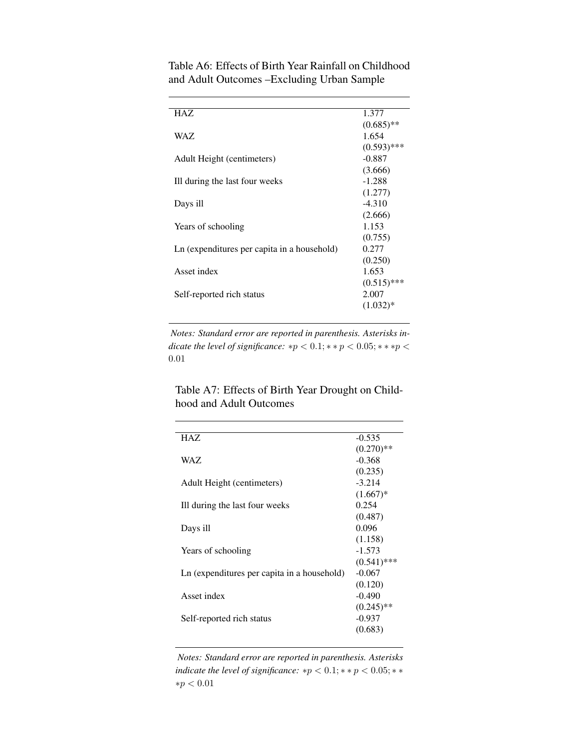| HAZ.                                        | 1.377         |
|---------------------------------------------|---------------|
|                                             | $(0.685)$ **  |
| WAZ.                                        | 1.654         |
|                                             | $(0.593)$ *** |
| Adult Height (centimeters)                  | $-0.887$      |
|                                             | (3.666)       |
| Ill during the last four weeks              | $-1.288$      |
|                                             | (1.277)       |
| Days ill                                    | $-4.310$      |
|                                             | (2.666)       |
| Years of schooling                          | 1.153         |
|                                             | (0.755)       |
| Ln (expenditures per capita in a household) | 0.277         |
|                                             | (0.250)       |
| Asset index                                 | 1.653         |
|                                             | $(0.515)$ *** |
| Self-reported rich status                   | 2.007         |
|                                             | $(1.032)*$    |
|                                             |               |

<span id="page-35-0"></span>Table A6: Effects of Birth Year Rainfall on Childhood and Adult Outcomes –Excluding Urban Sample

*Notes: Standard error are reported in parenthesis. Asterisks indicate the level of significance:*  $*p < 0.1; **p < 0.05; **p <$ 0.01

<span id="page-35-1"></span>Table A7: Effects of Birth Year Drought on Childhood and Adult Outcomes

| <b>HAZ</b>                                  | $-0.535$      |
|---------------------------------------------|---------------|
|                                             | $(0.270)$ **  |
| WAZ.                                        | $-0.368$      |
|                                             | (0.235)       |
| Adult Height (centimeters)                  | $-3.214$      |
|                                             | $(1.667)*$    |
| Ill during the last four weeks              | 0.254         |
|                                             | (0.487)       |
| Days ill                                    | 0.096         |
|                                             | (1.158)       |
| Years of schooling                          | $-1.573$      |
|                                             | $(0.541)$ *** |
| Ln (expenditures per capita in a household) | $-0.067$      |
|                                             | (0.120)       |
| Asset index                                 | $-0.490$      |
|                                             | $(0.245)$ **  |
| Self-reported rich status                   | $-0.937$      |
|                                             | (0.683)       |
|                                             |               |

*Notes: Standard error are reported in parenthesis. Asterisks indicate the level of significance:*  $*p < 0.1; **p < 0.05; **$  ${\ast}p < 0.01$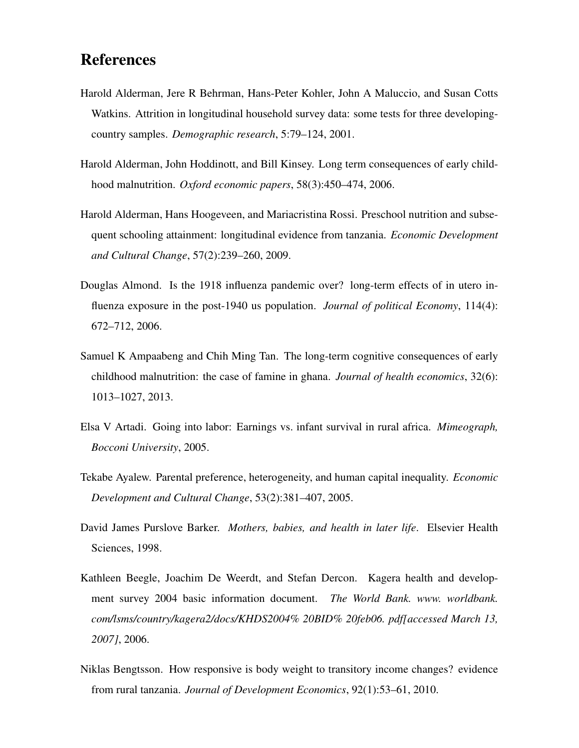# References

- <span id="page-36-8"></span>Harold Alderman, Jere R Behrman, Hans-Peter Kohler, John A Maluccio, and Susan Cotts Watkins. Attrition in longitudinal household survey data: some tests for three developingcountry samples. *Demographic research*, 5:79–124, 2001.
- <span id="page-36-0"></span>Harold Alderman, John Hoddinott, and Bill Kinsey. Long term consequences of early childhood malnutrition. *Oxford economic papers*, 58(3):450–474, 2006.
- <span id="page-36-3"></span>Harold Alderman, Hans Hoogeveen, and Mariacristina Rossi. Preschool nutrition and subsequent schooling attainment: longitudinal evidence from tanzania. *Economic Development and Cultural Change*, 57(2):239–260, 2009.
- <span id="page-36-1"></span>Douglas Almond. Is the 1918 influenza pandemic over? long-term effects of in utero influenza exposure in the post-1940 us population. *Journal of political Economy*, 114(4): 672–712, 2006.
- <span id="page-36-2"></span>Samuel K Ampaabeng and Chih Ming Tan. The long-term cognitive consequences of early childhood malnutrition: the case of famine in ghana. *Journal of health economics*, 32(6): 1013–1027, 2013.
- <span id="page-36-5"></span>Elsa V Artadi. Going into labor: Earnings vs. infant survival in rural africa. *Mimeograph, Bocconi University*, 2005.
- <span id="page-36-9"></span>Tekabe Ayalew. Parental preference, heterogeneity, and human capital inequality. *Economic Development and Cultural Change*, 53(2):381–407, 2005.
- <span id="page-36-4"></span>David James Purslove Barker. *Mothers, babies, and health in later life*. Elsevier Health Sciences, 1998.
- <span id="page-36-7"></span>Kathleen Beegle, Joachim De Weerdt, and Stefan Dercon. Kagera health and development survey 2004 basic information document. *The World Bank. www. worldbank. com/lsms/country/kagera2/docs/KHDS2004% 20BID% 20feb06. pdf[accessed March 13, 2007]*, 2006.
- <span id="page-36-6"></span>Niklas Bengtsson. How responsive is body weight to transitory income changes? evidence from rural tanzania. *Journal of Development Economics*, 92(1):53–61, 2010.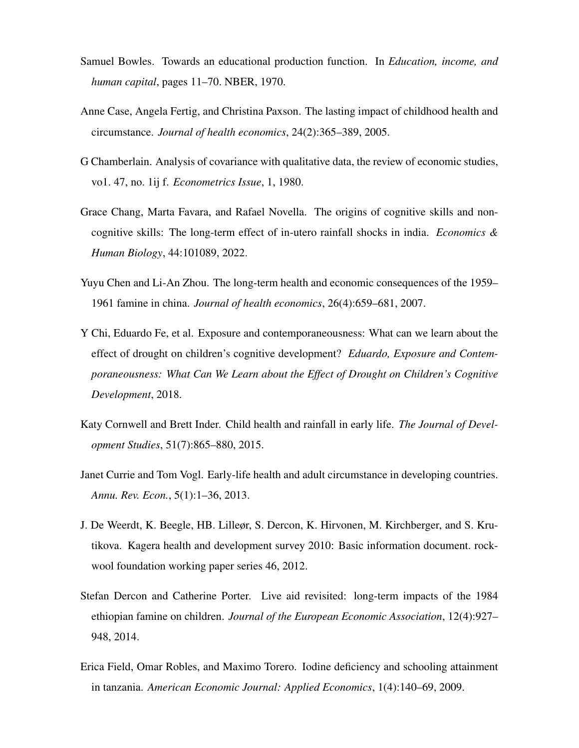- <span id="page-37-6"></span>Samuel Bowles. Towards an educational production function. In *Education, income, and human capital*, pages 11–70. NBER, 1970.
- <span id="page-37-0"></span>Anne Case, Angela Fertig, and Christina Paxson. The lasting impact of childhood health and circumstance. *Journal of health economics*, 24(2):365–389, 2005.
- <span id="page-37-7"></span>G Chamberlain. Analysis of covariance with qualitative data, the review of economic studies, vo1. 47, no. 1ij f. *Econometrics Issue*, 1, 1980.
- <span id="page-37-5"></span>Grace Chang, Marta Favara, and Rafael Novella. The origins of cognitive skills and noncognitive skills: The long-term effect of in-utero rainfall shocks in india. *Economics & Human Biology*, 44:101089, 2022.
- <span id="page-37-1"></span>Yuyu Chen and Li-An Zhou. The long-term health and economic consequences of the 1959– 1961 famine in china. *Journal of health economics*, 26(4):659–681, 2007.
- <span id="page-37-4"></span>Y Chi, Eduardo Fe, et al. Exposure and contemporaneousness: What can we learn about the effect of drought on children's cognitive development? *Eduardo, Exposure and Contemporaneousness: What Can We Learn about the Effect of Drought on Children's Cognitive Development*, 2018.
- <span id="page-37-3"></span>Katy Cornwell and Brett Inder. Child health and rainfall in early life. *The Journal of Development Studies*, 51(7):865–880, 2015.
- <span id="page-37-10"></span>Janet Currie and Tom Vogl. Early-life health and adult circumstance in developing countries. *Annu. Rev. Econ.*, 5(1):1–36, 2013.
- <span id="page-37-8"></span>J. De Weerdt, K. Beegle, HB. Lilleør, S. Dercon, K. Hirvonen, M. Kirchberger, and S. Krutikova. Kagera health and development survey 2010: Basic information document. rockwool foundation working paper series 46, 2012.
- <span id="page-37-2"></span>Stefan Dercon and Catherine Porter. Live aid revisited: long-term impacts of the 1984 ethiopian famine on children. *Journal of the European Economic Association*, 12(4):927– 948, 2014.
- <span id="page-37-9"></span>Erica Field, Omar Robles, and Maximo Torero. Iodine deficiency and schooling attainment in tanzania. *American Economic Journal: Applied Economics*, 1(4):140–69, 2009.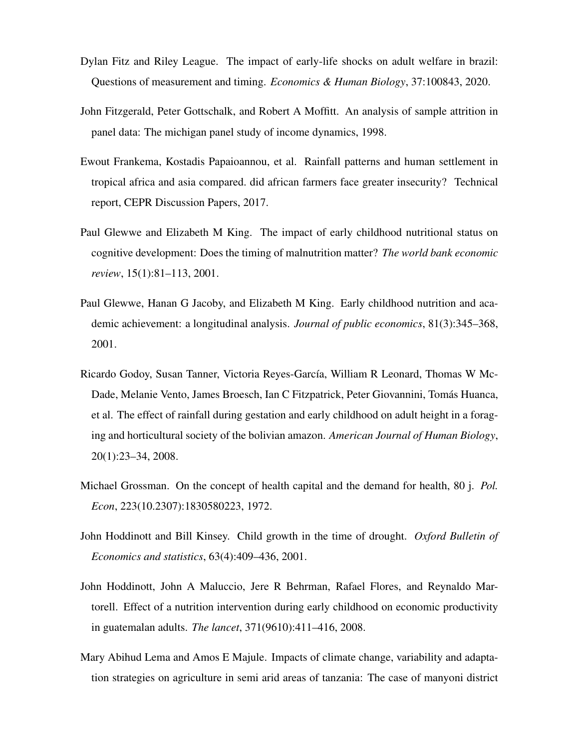- <span id="page-38-2"></span>Dylan Fitz and Riley League. The impact of early-life shocks on adult welfare in brazil: Questions of measurement and timing. *Economics & Human Biology*, 37:100843, 2020.
- <span id="page-38-8"></span>John Fitzgerald, Peter Gottschalk, and Robert A Moffitt. An analysis of sample attrition in panel data: The michigan panel study of income dynamics, 1998.
- <span id="page-38-6"></span>Ewout Frankema, Kostadis Papaioannou, et al. Rainfall patterns and human settlement in tropical africa and asia compared. did african farmers face greater insecurity? Technical report, CEPR Discussion Papers, 2017.
- <span id="page-38-3"></span>Paul Glewwe and Elizabeth M King. The impact of early childhood nutritional status on cognitive development: Does the timing of malnutrition matter? *The world bank economic review*, 15(1):81–113, 2001.
- <span id="page-38-0"></span>Paul Glewwe, Hanan G Jacoby, and Elizabeth M King. Early childhood nutrition and academic achievement: a longitudinal analysis. *Journal of public economics*, 81(3):345–368, 2001.
- <span id="page-38-1"></span>Ricardo Godoy, Susan Tanner, Victoria Reyes-García, William R Leonard, Thomas W Mc-Dade, Melanie Vento, James Broesch, Ian C Fitzpatrick, Peter Giovannini, Tomás Huanca, et al. The effect of rainfall during gestation and early childhood on adult height in a foraging and horticultural society of the bolivian amazon. *American Journal of Human Biology*, 20(1):23–34, 2008.
- <span id="page-38-5"></span>Michael Grossman. On the concept of health capital and the demand for health, 80 j. *Pol. Econ*, 223(10.2307):1830580223, 1972.
- <span id="page-38-4"></span>John Hoddinott and Bill Kinsey. Child growth in the time of drought. *Oxford Bulletin of Economics and statistics*, 63(4):409–436, 2001.
- <span id="page-38-9"></span>John Hoddinott, John A Maluccio, Jere R Behrman, Rafael Flores, and Reynaldo Martorell. Effect of a nutrition intervention during early childhood on economic productivity in guatemalan adults. *The lancet*, 371(9610):411–416, 2008.
- <span id="page-38-7"></span>Mary Abihud Lema and Amos E Majule. Impacts of climate change, variability and adaptation strategies on agriculture in semi arid areas of tanzania: The case of manyoni district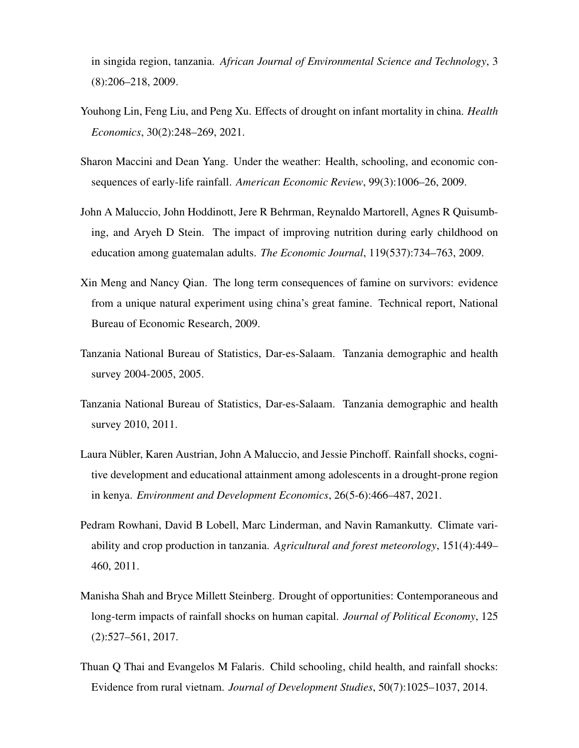in singida region, tanzania. *African Journal of Environmental Science and Technology*, 3 (8):206–218, 2009.

- <span id="page-39-3"></span>Youhong Lin, Feng Liu, and Peng Xu. Effects of drought on infant mortality in china. *Health Economics*, 30(2):248–269, 2021.
- <span id="page-39-0"></span>Sharon Maccini and Dean Yang. Under the weather: Health, schooling, and economic consequences of early-life rainfall. *American Economic Review*, 99(3):1006–26, 2009.
- <span id="page-39-9"></span>John A Maluccio, John Hoddinott, Jere R Behrman, Reynaldo Martorell, Agnes R Quisumbing, and Aryeh D Stein. The impact of improving nutrition during early childhood on education among guatemalan adults. *The Economic Journal*, 119(537):734–763, 2009.
- <span id="page-39-1"></span>Xin Meng and Nancy Qian. The long term consequences of famine on survivors: evidence from a unique natural experiment using china's great famine. Technical report, National Bureau of Economic Research, 2009.
- <span id="page-39-8"></span>Tanzania National Bureau of Statistics, Dar-es-Salaam. Tanzania demographic and health survey 2004-2005, 2005.
- <span id="page-39-7"></span>Tanzania National Bureau of Statistics, Dar-es-Salaam. Tanzania demographic and health survey 2010, 2011.
- <span id="page-39-4"></span>Laura Nübler, Karen Austrian, John A Maluccio, and Jessie Pinchoff. Rainfall shocks, cognitive development and educational attainment among adolescents in a drought-prone region in kenya. *Environment and Development Economics*, 26(5-6):466–487, 2021.
- <span id="page-39-6"></span>Pedram Rowhani, David B Lobell, Marc Linderman, and Navin Ramankutty. Climate variability and crop production in tanzania. *Agricultural and forest meteorology*, 151(4):449– 460, 2011.
- <span id="page-39-5"></span>Manisha Shah and Bryce Millett Steinberg. Drought of opportunities: Contemporaneous and long-term impacts of rainfall shocks on human capital. *Journal of Political Economy*, 125 (2):527–561, 2017.
- <span id="page-39-2"></span>Thuan Q Thai and Evangelos M Falaris. Child schooling, child health, and rainfall shocks: Evidence from rural vietnam. *Journal of Development Studies*, 50(7):1025–1037, 2014.